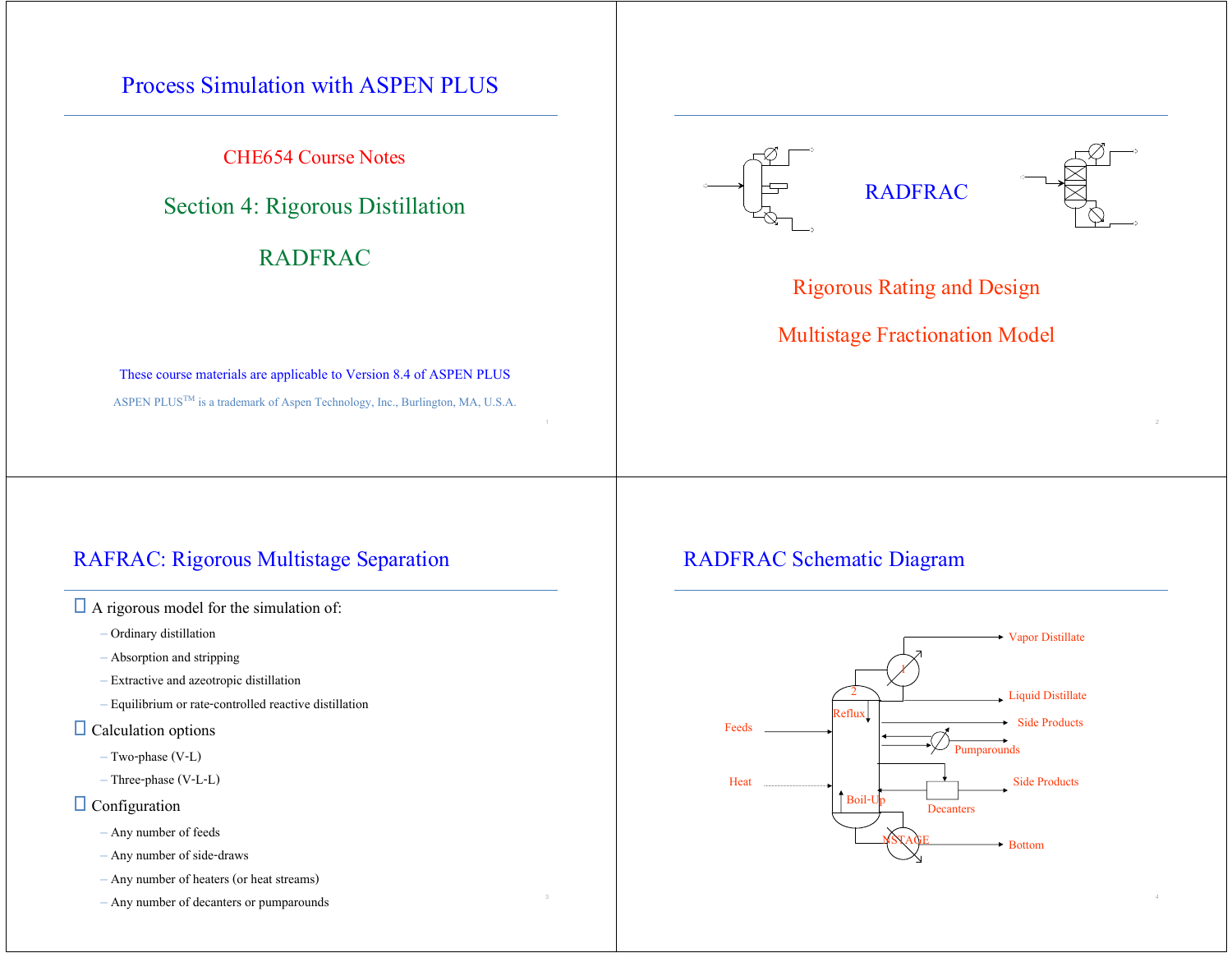## Process Simulation with ASPEN PLUS

CHE654 Course Notes

## Section 4: Rigorous Distillation

## RADFRAC

### These course materials are applicable to Version 8.4 of ASPEN PLUS ASPEN PLUS<sup>TM</sup> is a trademark of Aspen Technology, Inc., Burlington, MA, U.S.A.

## RAFRAC: Rigorous Multistage Separation

 $\Box$  A rigorous model for the simulation of:

- Ordinary distillation
- Absorption and stripping
- Extractive and azeotropic distillation
- Equilibrium or rate-controlled reactive distillation
- $\Box$  Calculation options
	- Two-phase (V-L)
	- Three-phase (V-L-L)

### $\Box$  Configuration

- Any number of feeds
- Any number of side-draws
- Any number of heaters (or heat streams)
- Any number of decanters or pumparounds <sup>4</sup>





### Rigorous Rating and Design

## Multistage Fractionation Model

### RADFRAC Schematic Diagram

 $1$  and  $2$  and  $2$  and  $2$  and  $2$  and  $2$  and  $2$  and  $2$  and  $2$  and  $2$  and  $2$ 

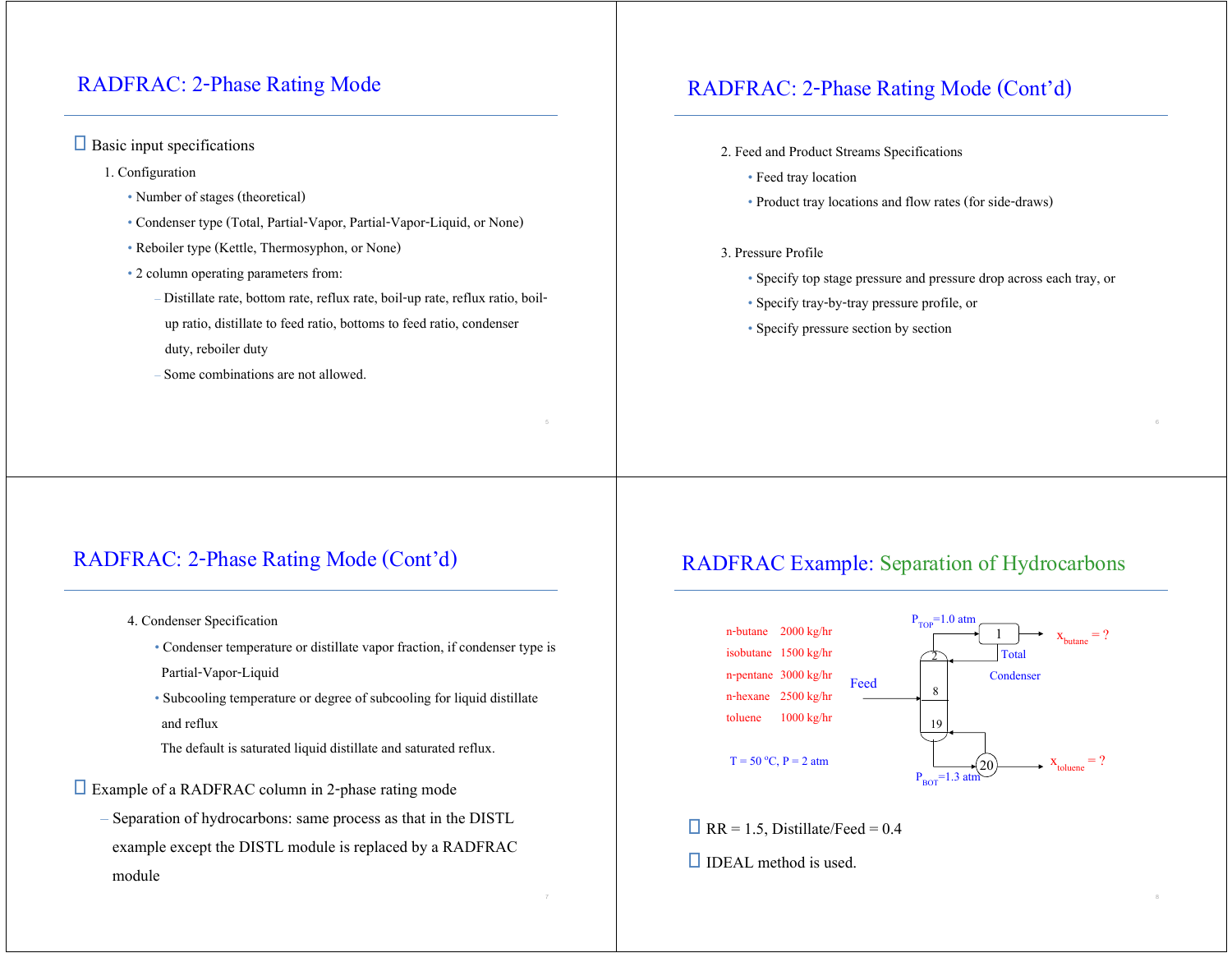### RADFRAC: 2-Phase Rating Mode

### $\Box$  Basic input specifications

- 1. Configuration
	- Number of stages (theoretical)
	- Condenser type (Total, Partial-Vapor, Partial-Vapor-Liquid, or None)
	- Reboiler type (Kettle, Thermosyphon, or None)
	- 2 column operating parameters from:
		- Distillate rate, bottom rate, reflux rate, boil-up rate, reflux ratio, boil up ratio, distillate to feed ratio, bottoms to feed ratio, condenser
		- duty, reboiler duty
		-
		- Some combinations are not allowed.

### RADFRAC: 2-Phase Rating Mode (Cont'd)

- 2. Feed and Product Streams Specifications
	- Feed tray location
	- Product tray locations and flow rates (for side-draws)

#### 3. Pressure Profile

- Specify top stage pressure and pressure drop across each tray, or
- Specify tray-by-tray pressure profile, or
- Specify pressure section by section

### RADFRAC: 2-Phase Rating Mode (Cont'd)

- 4. Condenser Specification
	- Condenser temperature or distillate vapor fraction, if condenser type is Partial-Vapor-Liquid
	- Subcooling temperature or degree of subcooling for liquid distillate and reflux
	- The default is saturated liquid distillate and saturated reflux.

Example of a RADFRAC column in 2-phase rating mode

– Separation of hydrocarbons: same process as that in the DISTL example except the DISTL module is replaced by a RADFRAC module

### RADFRAC Example: Separation of Hydrocarbons



 $\Box$  RR = 1.5, Distillate/Feed = 0.4

 $\Box$  IDEAL method is used.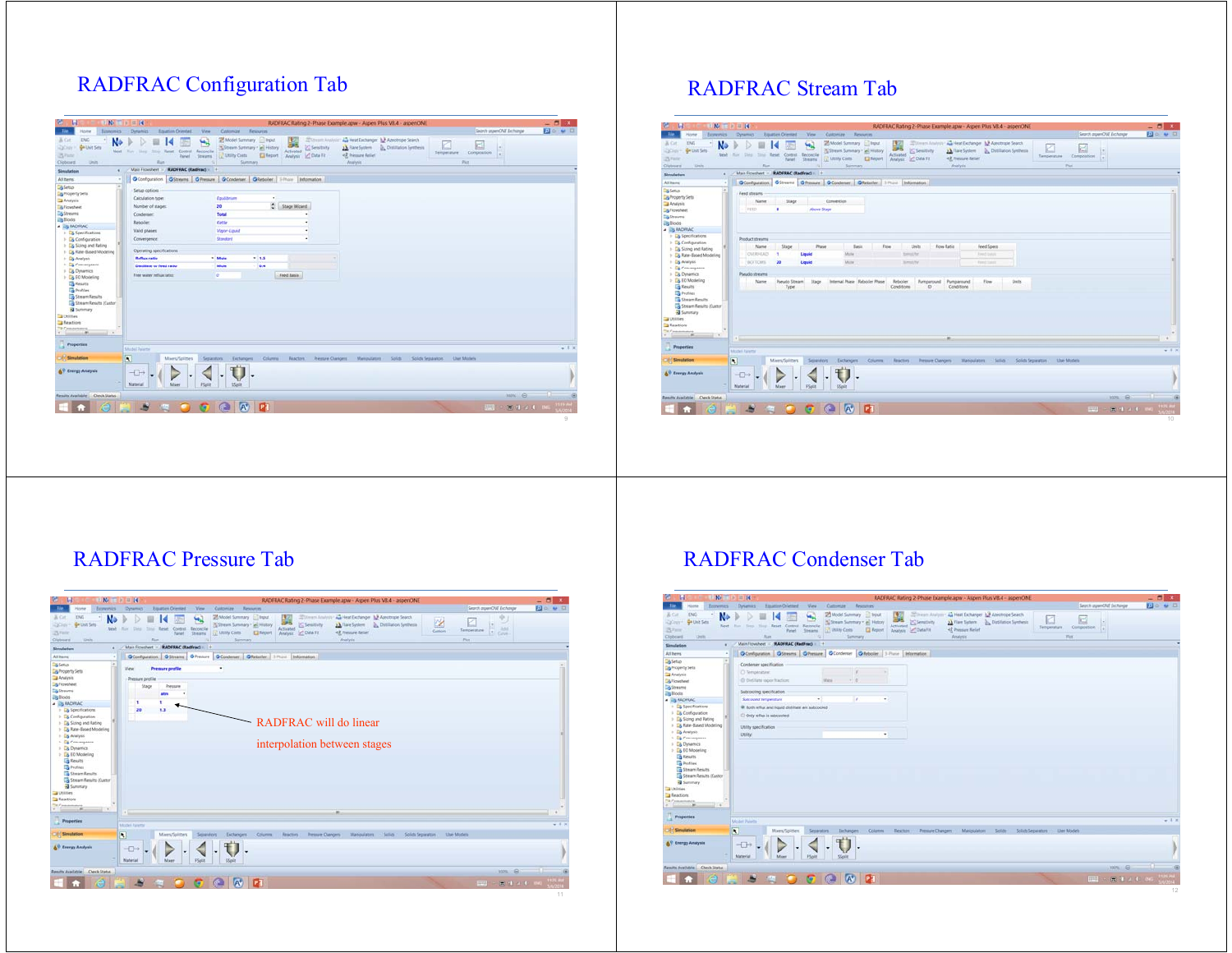# RADFRAC Configuration Tab

| tennomis.<br><b>Home</b>                                                                                           | $B$ $N2$ $n3$ $n4$<br><b>Dynamics</b><br>Equation Oriented<br>View.                         | Customize<br><b>Registration</b>                                                                                    |                                                                                                    | RADFRAC Rating 2-Phase Example.apw - Aspen Plus VII.4 - aspenONE                                                                         | Search aspenONE Exchange                                   | $- 0 x$<br><b>Elo w 0</b> |
|--------------------------------------------------------------------------------------------------------------------|---------------------------------------------------------------------------------------------|---------------------------------------------------------------------------------------------------------------------|----------------------------------------------------------------------------------------------------|------------------------------------------------------------------------------------------------------------------------------------------|------------------------------------------------------------|---------------------------|
| ENG<br>& Cut.<br>×.<br>N<br>ga Unit Sets<br><b>QOIN</b><br><b>News</b><br>25 Partie<br>District<br><b>Cipboard</b> | 4<br>fitter Figure Control Recording<br>Ray Line<br><b>Threasta</b><br>Paral:<br><b>Bay</b> | 25 Model Summary <b>2 Input</b><br>Scheen Summary * and History<br><b>In Littley Costs</b><br>El fleport<br>Simmary | w<br><b>ZE</b> Variation Anadysis<br>235<br>C Servicery<br><b>Activated</b><br>Analysis C Data Fit | An Heat Exchanger 1.3 Apechripe Search<br><b>D.</b> Distillation Synthesis<br><b>J.A.</b> Flare Systems<br>42 Primara Relief<br>Analysis | e<br>5.00<br>Temperature:<br>Composition<br>l a i<br>Pice. |                           |
| Simulation<br>٠                                                                                                    | Main Finesheet : RADFRAC (RadFrac) : +                                                      |                                                                                                                     |                                                                                                    |                                                                                                                                          |                                                            |                           |
| All Berns<br>$\cdot$                                                                                               | O Configuration G Streams   G Fressure   G Condition   G Residen   1-Those   Information    |                                                                                                                     |                                                                                                    |                                                                                                                                          |                                                            |                           |
| $\rightarrow$<br><b>Co</b> Setup                                                                                   | Setup options                                                                               |                                                                                                                     |                                                                                                    |                                                                                                                                          |                                                            |                           |
| <b>B</b> Property Sets                                                                                             |                                                                                             |                                                                                                                     |                                                                                                    |                                                                                                                                          |                                                            |                           |
| <b>B</b> Analysis                                                                                                  | Calculation type:                                                                           | Equilibrium<br>٠                                                                                                    |                                                                                                    |                                                                                                                                          |                                                            |                           |
| <b>Ball</b> Flowsheet                                                                                              | Number of stages:                                                                           | 20                                                                                                                  | C Stege Wizerd                                                                                     |                                                                                                                                          |                                                            |                           |
| <b>Da Streams</b>                                                                                                  | Condenser                                                                                   | <b>Total</b>                                                                                                        |                                                                                                    |                                                                                                                                          |                                                            |                           |
| <b>Illa</b> Blocks                                                                                                 | <b>Rebolen</b>                                                                              | Cettle                                                                                                              | $\cdot$                                                                                            |                                                                                                                                          |                                                            |                           |
| A <b>CRADIRAC</b><br>> La Specifications                                                                           | Valid phases:                                                                               | Vision Liquid                                                                                                       | $\bullet$                                                                                          |                                                                                                                                          |                                                            |                           |
| > Configuration                                                                                                    | Convergence:                                                                                | <b>Standard</b>                                                                                                     | $\sim$                                                                                             |                                                                                                                                          |                                                            |                           |
| > Eg Sizing and Rating                                                                                             |                                                                                             |                                                                                                                     |                                                                                                    |                                                                                                                                          |                                                            |                           |
| 1 <b>City Rate Based Modeling</b>                                                                                  | Operating specifications                                                                    |                                                                                                                     |                                                                                                    |                                                                                                                                          |                                                            |                           |
| $+$ $\Box$ Analysis                                                                                                | <b>Reflux ratio</b>                                                                         | * Mole<br>$-15$                                                                                                     | $\sim$                                                                                             |                                                                                                                                          |                                                            |                           |
| 1 Da Convergence                                                                                                   | Distillate to feed ratio                                                                    | - Mole<br>$-84$                                                                                                     |                                                                                                    |                                                                                                                                          |                                                            |                           |
| > Lig Dynamics<br>> Ca FO Modeling                                                                                 | Free water reflux ratios:                                                                   | l e                                                                                                                 | Feed Basis                                                                                         |                                                                                                                                          |                                                            |                           |
| <b>Call Results</b>                                                                                                |                                                                                             |                                                                                                                     |                                                                                                    |                                                                                                                                          |                                                            |                           |
| <b>The Profiles</b>                                                                                                |                                                                                             |                                                                                                                     |                                                                                                    |                                                                                                                                          |                                                            |                           |
| Stream Results                                                                                                     |                                                                                             |                                                                                                                     |                                                                                                    |                                                                                                                                          |                                                            |                           |
| <b>Cas Stream Results (Custor</b>                                                                                  |                                                                                             |                                                                                                                     |                                                                                                    |                                                                                                                                          |                                                            |                           |
|                                                                                                                    |                                                                                             |                                                                                                                     |                                                                                                    |                                                                                                                                          |                                                            |                           |
|                                                                                                                    |                                                                                             |                                                                                                                     |                                                                                                    |                                                                                                                                          |                                                            |                           |
|                                                                                                                    |                                                                                             |                                                                                                                     |                                                                                                    |                                                                                                                                          |                                                            |                           |
|                                                                                                                    |                                                                                             |                                                                                                                     |                                                                                                    |                                                                                                                                          |                                                            |                           |
| i di<br>$-11.7$                                                                                                    |                                                                                             |                                                                                                                     |                                                                                                    |                                                                                                                                          |                                                            |                           |
| <b>El</b> Summary<br><b>Callidge</b><br><b>Tal Reactions</b><br><b>Ta</b> Cymelesters                              |                                                                                             |                                                                                                                     |                                                                                                    |                                                                                                                                          |                                                            |                           |
|                                                                                                                    | Model Paintin                                                                               |                                                                                                                     |                                                                                                    |                                                                                                                                          |                                                            |                           |
|                                                                                                                    |                                                                                             |                                                                                                                     |                                                                                                    |                                                                                                                                          |                                                            |                           |
|                                                                                                                    | $\overline{\mathbf{N}}$<br>Mixers/Splitters                                                 | Separators<br>Estfrangers<br>Columns                                                                                | Faiscion.<br>Pressure Changers                                                                     | Manputators Solids<br>Solids Separators                                                                                                  | <b>User Models</b>                                         |                           |
|                                                                                                                    |                                                                                             |                                                                                                                     |                                                                                                    |                                                                                                                                          |                                                            |                           |
| Properties<br><b>Simulation</b><br><b>AV</b> Energy Analysis                                                       | $\neg$                                                                                      |                                                                                                                     |                                                                                                    |                                                                                                                                          |                                                            |                           |
|                                                                                                                    | <b>Material</b><br>Miser<br><b>Flight</b>                                                   | <b>SSpitt</b>                                                                                                       |                                                                                                    |                                                                                                                                          |                                                            |                           |
|                                                                                                                    |                                                                                             |                                                                                                                     |                                                                                                    |                                                                                                                                          |                                                            |                           |
|                                                                                                                    |                                                                                             |                                                                                                                     |                                                                                                    |                                                                                                                                          |                                                            | $-1-$<br>$nom \theta$     |
| Results Available Check Status                                                                                     | B<br>if a<br><b>SEA</b>                                                                     | $A^*$ $D$<br><b>GE</b>                                                                                              |                                                                                                    |                                                                                                                                          | <b>HHT -</b>                                               | $+ 1 x$<br>图 图 2 4 18     |

### RADFRAC Stream Tab

| <b>DAG</b><br>A Cit.<br>N۰<br>Griba Sets<br><b>DOISY</b><br>Next Littler<br>Shep:<br>25 Parist<br>Cipboard<br>Date.<br>Simulation<br>All Items<br>٠<br><b>Dis Setup</b><br>Feed streams<br><b>By Property Sets</b><br>Analysis<br><b>IFEED</b><br><b>Constant</b><br><b>Co Sheams</b><br><b>Da Blocks</b><br><b>A BANCHAC</b> | <b>Equation Oriented</b><br>H.<br><b>Ship Reset Control Recordia</b><br>Shearra<br>Panel 1<br>film.<br>Main Flowsheet - RADFRAC (RadFrac) + +<br>Stage<br>Name<br>٠ | Model Summary <b>El Input</b><br>Stream Summary * all History<br><b>LET MARRY Conts</b><br><b>D</b> Fincent<br>Summary<br>OConfiguration OStreams   O Fressure   OCondition   O Fatboller   1 Pluste   Information  <br>Convention<br>Above-Stops | S Senitory<br>Activated<br>Analysis M. Data Fit | Sillmen Analysis - An Heat Exchanger A.P Assotroste Search<br>A Flare System  Distillation Systems<br><3. Trenture Relief<br>Analysis | e<br>ĸ<br>H<br>Temperature<br>Composition<br>H.<br>Port | 2000  |
|-------------------------------------------------------------------------------------------------------------------------------------------------------------------------------------------------------------------------------------------------------------------------------------------------------------------------------|---------------------------------------------------------------------------------------------------------------------------------------------------------------------|---------------------------------------------------------------------------------------------------------------------------------------------------------------------------------------------------------------------------------------------------|-------------------------------------------------|---------------------------------------------------------------------------------------------------------------------------------------|---------------------------------------------------------|-------|
|                                                                                                                                                                                                                                                                                                                               |                                                                                                                                                                     |                                                                                                                                                                                                                                                   |                                                 |                                                                                                                                       |                                                         |       |
|                                                                                                                                                                                                                                                                                                                               |                                                                                                                                                                     |                                                                                                                                                                                                                                                   |                                                 |                                                                                                                                       |                                                         |       |
|                                                                                                                                                                                                                                                                                                                               |                                                                                                                                                                     |                                                                                                                                                                                                                                                   |                                                 |                                                                                                                                       |                                                         |       |
|                                                                                                                                                                                                                                                                                                                               |                                                                                                                                                                     |                                                                                                                                                                                                                                                   |                                                 |                                                                                                                                       |                                                         |       |
|                                                                                                                                                                                                                                                                                                                               |                                                                                                                                                                     |                                                                                                                                                                                                                                                   |                                                 |                                                                                                                                       |                                                         |       |
|                                                                                                                                                                                                                                                                                                                               |                                                                                                                                                                     |                                                                                                                                                                                                                                                   |                                                 |                                                                                                                                       |                                                         |       |
|                                                                                                                                                                                                                                                                                                                               |                                                                                                                                                                     |                                                                                                                                                                                                                                                   |                                                 |                                                                                                                                       |                                                         |       |
|                                                                                                                                                                                                                                                                                                                               |                                                                                                                                                                     |                                                                                                                                                                                                                                                   |                                                 |                                                                                                                                       |                                                         |       |
| > La Specifications                                                                                                                                                                                                                                                                                                           |                                                                                                                                                                     |                                                                                                                                                                                                                                                   |                                                 |                                                                                                                                       |                                                         |       |
| Product streams<br>> Eg Configuration                                                                                                                                                                                                                                                                                         |                                                                                                                                                                     |                                                                                                                                                                                                                                                   | <b>Livin</b><br>Flow Ratio                      | Feed Specs                                                                                                                            |                                                         |       |
| > Ca Sizing and Rating<br>OVERHEAD                                                                                                                                                                                                                                                                                            | <b>Stage</b><br>Name<br>Liquid<br>٠                                                                                                                                 | <b>Pháné</b><br><b>Basis</b><br>Mole                                                                                                                                                                                                              | <b>Flow</b><br><b>Kansas Ray</b>                | Forest bulgary                                                                                                                        |                                                         |       |
| > Eit, Rate-Based Modeling<br>1 Eg Analysis<br>BOTTOMS.                                                                                                                                                                                                                                                                       | 20<br>Liquid                                                                                                                                                        | Millet                                                                                                                                                                                                                                            | Stewart Ny                                      | Fried Sales                                                                                                                           |                                                         |       |
| > Ca Convergence                                                                                                                                                                                                                                                                                                              |                                                                                                                                                                     |                                                                                                                                                                                                                                                   |                                                 |                                                                                                                                       |                                                         |       |
| > La Dynamics<br>Pseudo streams                                                                                                                                                                                                                                                                                               |                                                                                                                                                                     |                                                                                                                                                                                                                                                   |                                                 |                                                                                                                                       |                                                         |       |
| > La EO Modeling                                                                                                                                                                                                                                                                                                              | Pieudo Stream Stage<br>Name                                                                                                                                         | Internal Phase Reboler Phase                                                                                                                                                                                                                      | Reboller<br><b>Pumparound</b>                   | Pumparound<br>Flow<br><b>Uwts</b>                                                                                                     |                                                         |       |
| <b>THE FIRMALES</b><br><b>Profiles</b>                                                                                                                                                                                                                                                                                        | Type                                                                                                                                                                |                                                                                                                                                                                                                                                   | Conditions<br>$\circ$                           | Conditions                                                                                                                            |                                                         |       |
| <b>Ca</b> Stream Results                                                                                                                                                                                                                                                                                                      |                                                                                                                                                                     |                                                                                                                                                                                                                                                   |                                                 |                                                                                                                                       |                                                         |       |
| <b>Constitution Results (Custor</b>                                                                                                                                                                                                                                                                                           |                                                                                                                                                                     |                                                                                                                                                                                                                                                   |                                                 |                                                                                                                                       |                                                         |       |
| <b>Ballymore</b><br><b>Ca</b> Utilities                                                                                                                                                                                                                                                                                       |                                                                                                                                                                     |                                                                                                                                                                                                                                                   |                                                 |                                                                                                                                       |                                                         |       |
| <b>E</b> Reactions                                                                                                                                                                                                                                                                                                            |                                                                                                                                                                     |                                                                                                                                                                                                                                                   |                                                 |                                                                                                                                       |                                                         |       |
| The Parameters<br>$-11.9$<br>Committee of the                                                                                                                                                                                                                                                                                 |                                                                                                                                                                     |                                                                                                                                                                                                                                                   |                                                 |                                                                                                                                       |                                                         |       |
|                                                                                                                                                                                                                                                                                                                               |                                                                                                                                                                     |                                                                                                                                                                                                                                                   |                                                 |                                                                                                                                       |                                                         |       |
| Properties<br>Model Patente                                                                                                                                                                                                                                                                                                   |                                                                                                                                                                     |                                                                                                                                                                                                                                                   |                                                 |                                                                                                                                       |                                                         | $-12$ |

### RADFRAC Pressure Tab

| <b>bonomics</b><br>.Tile<br>Home                                                                                                                                                                                                                                                                                                                                                                                | 三 6 三 钱<br>RADFRAC Rating 2-Phase Example.apw - Aspen Plus V8.4 - aspenONE<br>Search aspenONE Exchange<br>Equation Oriented<br>View.<br>Customize Resources<br><b>Dynamics</b>                                                                                                                                                                                                                                                                                                                               | $-5$<br>2000 |
|-----------------------------------------------------------------------------------------------------------------------------------------------------------------------------------------------------------------------------------------------------------------------------------------------------------------------------------------------------------------------------------------------------------------|--------------------------------------------------------------------------------------------------------------------------------------------------------------------------------------------------------------------------------------------------------------------------------------------------------------------------------------------------------------------------------------------------------------------------------------------------------------------------------------------------------------|--------------|
| <b>DVG</b><br>A Cit.<br>N<br>Gribat Sets<br><b>DOIN</b><br><b>Neigh</b><br>25 Paris<br>Data.<br>Cipboard                                                                                                                                                                                                                                                                                                        | Sillmen Analysis A Heat Exchanger & Assortione Search<br>Model Summary Dayut<br>×<br>ч,<br><b>ICZ</b><br>z<br>Stream Summary * all History<br>Stewart<br>A Flare System  Distillation Systems<br>3.54<br><b>State Reset Control Recordial</b><br>Activated<br>Shep:<br><b>FLAN</b><br>Temperature<br>Custom<br>$\left  \cdot \right $ Carve<br><b>D</b> Report<br><3. Trenture Relief<br>Analysis M. Data Fit<br>LLT Mility Costs<br><b>Shearry</b><br>Pariel<br><b>Size</b><br>Analysis<br>Pine.<br>Summary |              |
| Simulation                                                                                                                                                                                                                                                                                                                                                                                                      | Main Flowsheet - RADFRAC (RadFrac) - +                                                                                                                                                                                                                                                                                                                                                                                                                                                                       |              |
| All Items                                                                                                                                                                                                                                                                                                                                                                                                       | OConfiguration   OStream   O Pressure   OCondimer   O Reboller   1 Plust   Information                                                                                                                                                                                                                                                                                                                                                                                                                       |              |
| <b>Dis Setup</b><br>Ta Property Sets<br><b>B</b> Analysis<br><b>S</b> Flowsheet<br><b>Co Sheams</b><br><b>Da Blocks</b><br><b>A BANCHAC</b><br>> La Specifications<br>> Eg Configuration<br>> Eg Sizing and Rating<br>> Eg Rate-Based Modeling<br>1 Eg Analysis<br>> Ca Convergence<br>> Lis Dynamics<br>> EB ED Modeling<br><b>THE FIRMALES</b><br><b>Profiles</b><br>Stream Results<br>Stream Results (Custor | ٠<br>View<br><b>Pressure profile</b><br>Pressure profile<br>Stage<br>Pressure<br>atre<br>1<br>20<br>ū<br>RADFRAC will do linear<br>interpolation between stages                                                                                                                                                                                                                                                                                                                                              |              |
| <b>Baltimore</b><br>Utilies                                                                                                                                                                                                                                                                                                                                                                                     |                                                                                                                                                                                                                                                                                                                                                                                                                                                                                                              |              |
| <b>Beactions</b><br>The Powering<br>$-100$<br>$-14$                                                                                                                                                                                                                                                                                                                                                             |                                                                                                                                                                                                                                                                                                                                                                                                                                                                                                              |              |
|                                                                                                                                                                                                                                                                                                                                                                                                                 |                                                                                                                                                                                                                                                                                                                                                                                                                                                                                                              |              |
| Properties                                                                                                                                                                                                                                                                                                                                                                                                      | Model Faterni                                                                                                                                                                                                                                                                                                                                                                                                                                                                                                | $+11$        |
| <b>Constant</b>                                                                                                                                                                                                                                                                                                                                                                                                 | $\overline{\mathbf{S}}$<br>Mierca/Spitters<br>Pressure Changers   Mangulation<br><b>Sellids</b><br>Solida Separators<br><b>User Models</b><br>Exchangers.<br>Columns Reaction<br><b>Separators</b>                                                                                                                                                                                                                                                                                                           |              |
|                                                                                                                                                                                                                                                                                                                                                                                                                 |                                                                                                                                                                                                                                                                                                                                                                                                                                                                                                              |              |
|                                                                                                                                                                                                                                                                                                                                                                                                                 | $\neg$<br>Material<br>Mixer<br>Stair<br><b>SSpitt</b>                                                                                                                                                                                                                                                                                                                                                                                                                                                        |              |
| 69 Energy Analysis<br>Results Available Check Status                                                                                                                                                                                                                                                                                                                                                            | $mn - B$                                                                                                                                                                                                                                                                                                                                                                                                                                                                                                     | $-11 -$      |

## RADFRAC Condenser Tab

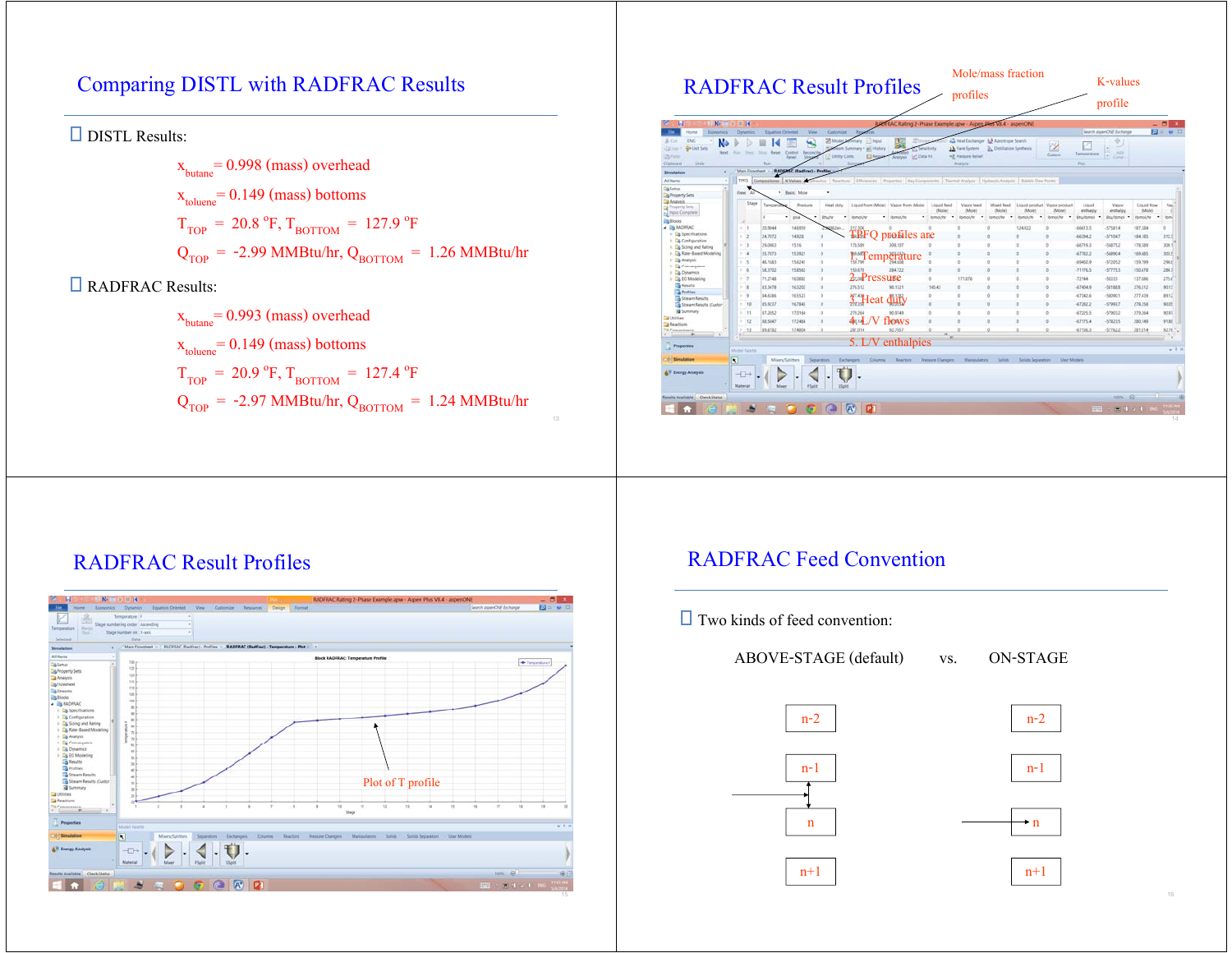# Comparing DISTL with RADFRAC Results

DISTL Results:

 $x<sub>butane</sub> = 0.998 (mass) overhead$  $x_{\text{toluene}}$  = 0.149 (mass) bottoms  $T_{\text{TOP}} = 20.8 \text{ °F}, T_{\text{BOTTOM}} = 127.9 \text{ °F}$  $Q<sub>TOP</sub> = -2.99$  MMBtu/hr,  $Q<sub>BOTTOM</sub> = 1.26$  MMBtu/hr

### **E** RADFRAC Results:

 $x<sub>butane</sub> = 0.993$  (mass) overhead  $x_{\text{toluene}} = 0.149 \text{ (mass)}$  bottoms  $T_{\text{TOP}} = 20.9 \text{ °F}, T_{\text{BOTTOM}} = 127.4 \text{ °F}$  $Q_{\text{TOP}}$  = -2.97 MMBtu/hr,  $Q_{\text{ROTTOM}}$  = 1.24 MMBtu/hr

|                                                                                                                                  | <b>RADFRAC Result Profiles</b> |                                 |                                                       |                                                             |                                            |                                                           |                                                                                                                    | profiles                        |                                                                                              |                                  |                   | K-values<br>profile                    |                           |                                                                       |                            |                     |
|----------------------------------------------------------------------------------------------------------------------------------|--------------------------------|---------------------------------|-------------------------------------------------------|-------------------------------------------------------------|--------------------------------------------|-----------------------------------------------------------|--------------------------------------------------------------------------------------------------------------------|---------------------------------|----------------------------------------------------------------------------------------------|----------------------------------|-------------------|----------------------------------------|---------------------------|-----------------------------------------------------------------------|----------------------------|---------------------|
| K.<br>н                                                                                                                          | $-24$                          |                                 |                                                       |                                                             |                                            |                                                           | RADI RAC Rating 2-Phase Example.apw - Aspen Plus VII.4 - aspenONE                                                  |                                 |                                                                                              |                                  |                   |                                        |                           |                                                                       | - 8                        |                     |
| <b>Representati</b><br>ENG<br>& Or<br>N<br><b>Q+Uut Sets</b><br><b>CICINEY</b><br>Next<br>25 Partiel<br><b>DVVB</b><br>Oiphinest | <b>House</b>                   | <b>Dynamics</b><br><b>State</b> | Equation Orientald<br>Reset<br>Total C<br><b>Bush</b> | View.<br>Control<br>flecore)<br><b>Sink</b><br><b>Panel</b> | Cinternize<br><b>Z</b> Mode<br>Utility Com | $\sim$<br><b>EL Hput</b><br>all History<br><b>El Repo</b> | Amelysis of Clata Fit                                                                                              | <b>APRILIANS</b>                | A Heat Exchanger La Azeptispe Search<br>1 h Fiare Suttern<br><3. Pressure Relief<br>Analysis | <b>C.</b> Distillation Synthesis |                   | <b>IX</b><br>Custom                    | Temperature<br><b>Put</b> | Search aspenONF Exchange<br>÷<br>-<br><b>June</b><br>i e ji<br>Camer. |                            | <b>Do u</b> D       |
| Simulation<br>×,                                                                                                                 |                                | Main Ficturate et 11            |                                                       | <b>RADIAKC (RadFrac) - Profiles</b>                         |                                            |                                                           |                                                                                                                    |                                 |                                                                                              |                                  |                   |                                        |                           |                                                                       |                            |                     |
| All <b>Berns</b><br>×<br><b>D&amp; Setup</b><br><b>By Property Sets</b>                                                          | TPFO<br>Vew.                   |                                 |                                                       | Compositions & Values<br>. Back Mole                        | sales<br>٠                                 |                                                           | Reachine:   Efficiencies   Properties   Key Components   Thermal Analysis   Hydraulic Analysis   Bubble Dew Points |                                 |                                                                                              |                                  |                   |                                        |                           |                                                                       |                            |                     |
| <b>B</b> Analysis<br>Property Sets<br>Host Congrete                                                                              |                                | Stage                           | Tempera                                               | Pressure                                                    | Heat duty                                  |                                                           | Liquid from (Mole) Vapor from (Mole)                                                                               | Liquid feed<br>(Mole)           | Vapor feed<br>(Mole)                                                                         | Mixed feed.<br>(Mole)            | (Mole)            | Exubour rogal Fastens biasil<br>(Mole) | Liquid<br>enthalpy        | Vapor<br>enthalpy                                                     | Liquid flow<br>(Mole)      | Vac                 |
| illa Blocks                                                                                                                      | ×                              |                                 | ×                                                     | $-$ psia<br>٠                                               | <b>Bruft</b><br>٠                          | <b>Tomoi, he</b>                                          | * itemol/fu                                                                                                        | bmolfy . Bmolfy                 |                                                                                              | $-$ libraci/ty                   | * Ibmol/hr        | $-$ Eurosi/W<br>$\bullet$              | Etu/bruol .               | Btu/bmol<br>$\bullet$                                                 | <b>ItumoUfu</b><br>$\cdot$ | <b>Rumi</b>         |
| <b>A US RADITAC</b>                                                                                                              |                                | $-11$                           | 203044                                                | 14,6958                                                     | MJaa                                       | 312.306                                                   |                                                                                                                    |                                 |                                                                                              | ×                                | 134.922           | ٠                                      | 46613.5                   | $-57581.4$                                                            | 187,584                    | a                   |
| > La Specifications                                                                                                              |                                | - 2                             | 34,7072                                               | 14926                                                       | ń                                          |                                                           | <b>TPFO</b> profiles are                                                                                           |                                 |                                                                                              | $\alpha$                         | ×                 | $\circ$                                | $-66394.3$                | $-57104.7$                                                            | 154,105                    | 312.1               |
| > Cantiguration<br>1 Eg Sizing and Rating                                                                                        |                                | r is                            | 25.0063                                               | 15.16                                                       | $\theta$                                   | 178,589                                                   | 309,157                                                                                                            |                                 |                                                                                              | $\alpha$                         | ö                 | b                                      | 66719.3                   | $-56875.2$                                                            | 178,589                    | 309.                |
| 1 Lig Rate-Based Modeling                                                                                                        |                                | $\overline{4}$                  | 35,7873                                               | 15,3921                                                     | o                                          | 10.63                                                     |                                                                                                                    |                                 | $\sim$                                                                                       | $\mathfrak{a}$                   | $\circ$           | o.                                     | $-67782.2$                | 56890.4                                                               | 169,685                    | 301.5               |
| + Ca Analysis                                                                                                                    |                                | - 15                            | 46,1683                                               | 15,6241                                                     | ×                                          | Artist                                                    | emperature                                                                                                         |                                 | n                                                                                            | n                                | ×                 | ó                                      | $-69450.0$                | $-57205.2$                                                            | 159,799                    | 294.0               |
| 1 G Convergence<br>> La Dynamics                                                                                                 |                                | $-6$                            | 58,3702                                               | 15,8563                                                     | n                                          | 150,678                                                   | 384,722                                                                                                            | n                               | n                                                                                            | n                                | ×                 | b.                                     | $-71176.3$                | $-57775.1$                                                            | 150,678                    | 2841                |
| > Ca EO Modeling                                                                                                                 |                                | i iz                            | 71,2748                                               | 14,0882                                                     | ٠                                          | 2. Pressure                                               |                                                                                                                    | $\circ$                         | 171,876                                                                                      | a                                | ×                 | $\theta$                               | $-72144$                  | $-58222$                                                              | 137,006                    | 273.6               |
| <b>Call Results</b>                                                                                                              |                                | <b>In</b>                       | 83,3478                                               | 16,3202                                                     | ö                                          | 276.512                                                   | 90,5321                                                                                                            | 140.43                          | n                                                                                            | n                                | ×                 | ö                                      | $-67454.9$                | $-58188.8$                                                            | 276,512                    | 93.13               |
| <b>The Profiles</b><br><b>Ca Stream Results</b>                                                                                  |                                | $\rightarrow$                   | \$4,6355                                              | 16,5521                                                     | $\theta$                                   |                                                           |                                                                                                                    | $\circ$                         | n                                                                                            | o                                | ø.                | ó                                      | $-67342.6$                | 58090.1                                                               | 277,439                    | <b>MAG</b>          |
| Stream Results (Custor)                                                                                                          |                                | 190                             | 85.9227                                               | 16,7843                                                     | $\alpha$                                   | 3. Heat                                                   | duty                                                                                                               | $\alpha$                        | n                                                                                            | $\alpha$                         | $\alpha$          | $\alpha$                               | $-67282.2$                | $-57992.7$                                                            | 278, 358                   | 93.05               |
| <b>El</b> Summary                                                                                                                |                                | $-11$                           | 87,3565                                               | 17,0164                                                     | b.                                         | 279,364                                                   | 90.9749                                                                                                            | $\alpha$                        | $\sim$                                                                                       | $\alpha$                         | $\theta$          | $\sigma$                               | $-67225.5$                | $-57903.2$                                                            | 270,264                    | 30.91               |
| <b>Car Unitidiary</b><br>Ta Aeactions                                                                                            |                                | 12                              | 88,5047                                               | 17,2454                                                     | b                                          | 4:14                                                      | flows                                                                                                              | ×                               | n                                                                                            | ٠                                | ×                 | ۰                                      | $-67175.4$                | $-57823.5$                                                            | 200,549                    | 91.85               |
|                                                                                                                                  |                                | 13                              | 89,8782                                               | 17,4804                                                     | ö                                          | 201,014                                                   | 92,7657                                                                                                            |                                 |                                                                                              |                                  |                   | ö                                      | $-671363$                 | $-57762.2$                                                            | 281,014                    | 52.7f. <sup>v</sup> |
| <b>Properties</b>                                                                                                                | <b>Midel Paintin</b>           |                                 |                                                       |                                                             |                                            |                                                           | 5. L/V enthalpies                                                                                                  |                                 |                                                                                              |                                  |                   |                                        |                           |                                                                       |                            | ×<br>$+3$           |
| <b>Constation</b><br><b>AV Energy Analysis</b>                                                                                   | N<br>$+T+$<br>Material         |                                 | Misse                                                 | Mixers/Splitters<br><b>FSpit</b>                            | Separators<br>Stain                        | <b>Exchangers</b><br>Columna                              | <b>Teachers</b>                                                                                                    | <b><i>Pressure Changers</i></b> | Manipulature                                                                                 | Soluts                           | Solids Separators | <b>User Models</b>                     |                           |                                                                       |                            |                     |

## RADFRAC Result Profiles



### RADFRAC Feed Convention

n-2

n-1

n+1

n

 $\Box$  Two kinds of feed convention:

ABOVE-STAGE (default) vs. ON-STAGE





n

n+1

n-1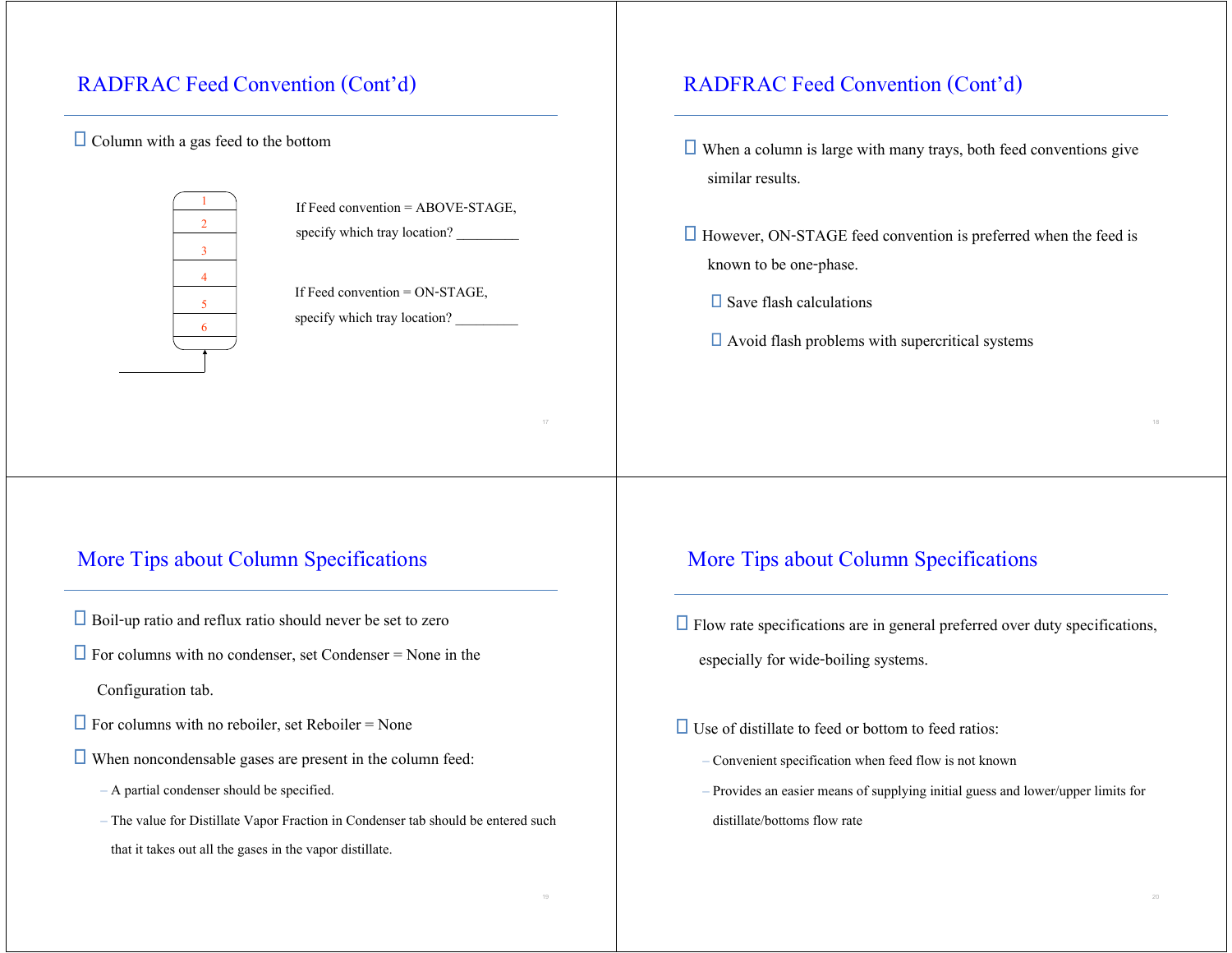## RADFRAC Feed Convention (Cont'd)

### $\Box$  Column with a gas feed to the bottom





### More Tips about Column Specifications

- $\Box$  Boil-up ratio and reflux ratio should never be set to zero
- $\Box$  For columns with no condenser, set Condenser = None in the

Configuration tab.

- $\Box$  For columns with no reboiler, set Reboiler = None
- $\Box$  When noncondensable gases are present in the column feed:
	- A partial condenser should be specified.
	- The value for Distillate Vapor Fraction in Condenser tab should be entered such that it takes out all the gases in the vapor distillate.

### RADFRAC Feed Convention (Cont'd)

- $\Box$  When a column is large with many trays, both feed conventions give similar results.
- $\Box$  However, ON-STAGE feed convention is preferred when the feed is known to be one-phase.
	- $\square$  Save flash calculations
	- $\Box$  Avoid flash problems with supercritical systems

### More Tips about Column Specifications

- $\Box$  Flow rate specifications are in general preferred over duty specifications, especially for wide-boiling systems.
- $\Box$  Use of distillate to feed or bottom to feed ratios:
	- Convenient specification when feed flow is not known
	- Provides an easier means of supplying initial guess and lower/upper limits for distillate/bottoms flow rate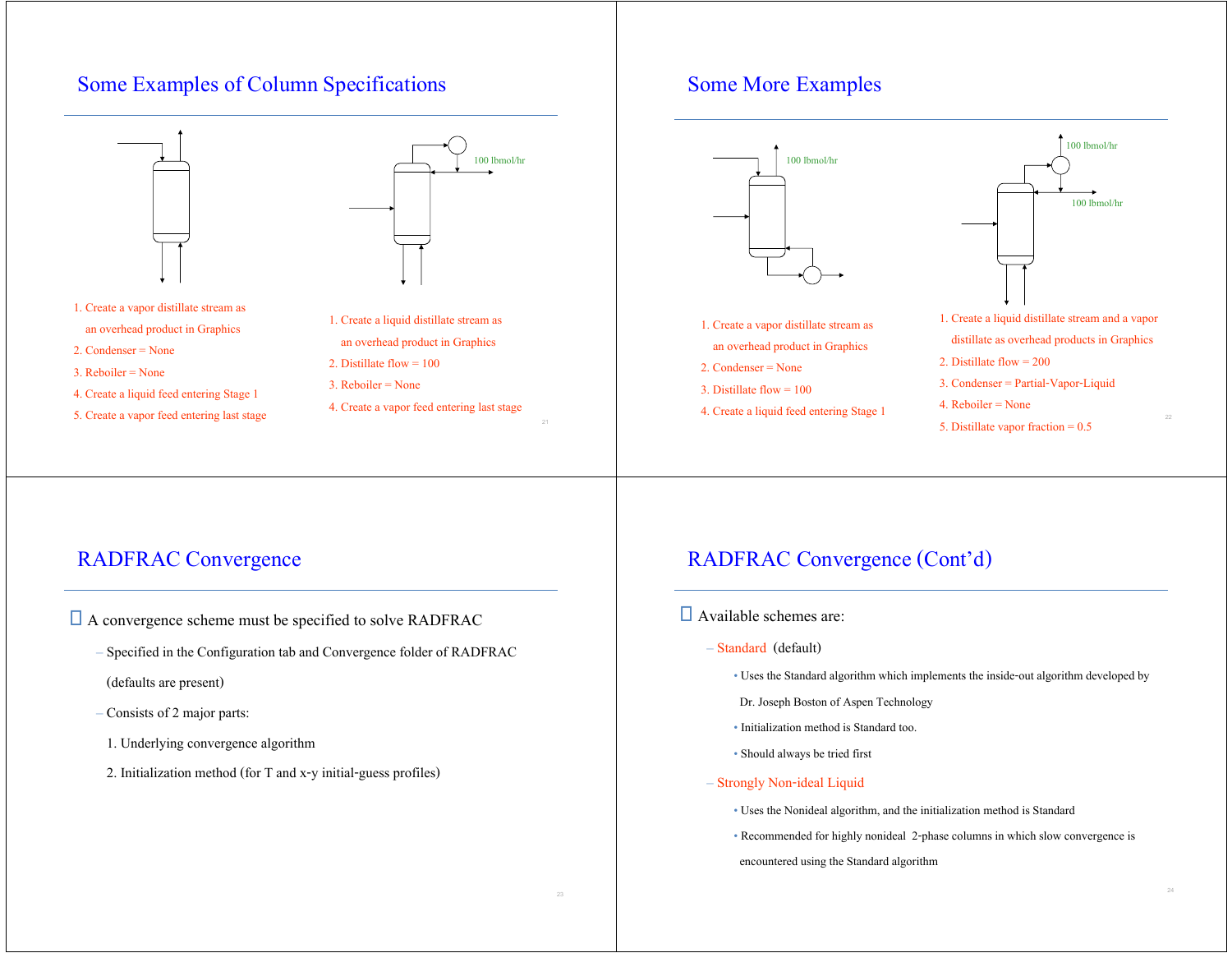### Some Examples of Column Specifications



- 3. Reboiler = None
- 4. Create a liquid feed entering Stage 1
- 5. Create a vapor feed entering last stage
- 3. Reboiler = None
- 
- 4. Create a vapor feed entering last stage

## Some More Examples



## RADFRAC Convergence

- □ A convergence scheme must be specified to solve RADFRAC
	- Specified in the Configuration tab and Convergence folder of RADFRAC
	- (defaults are present)
	- Consists of 2 major parts:
	- 1. Underlying convergence algorithm
	- 2. Initialization method (for T and x-y initial-guess profiles)

## RADFRAC Convergence (Cont'd)

- Available schemes are:
	- Standard (default)
		- Uses the Standard algorithm which implements the inside-out algorithm developed by
		- Dr. Joseph Boston of Aspen Technology
		- Initialization method is Standard too.
		- Should always be tried first

#### – Strongly Non-ideal Liquid

- Uses the Nonideal algorithm, and the initialization method is Standard
- Recommended for highly nonideal 2-phase columns in which slow convergence is

encountered using the Standard algorithm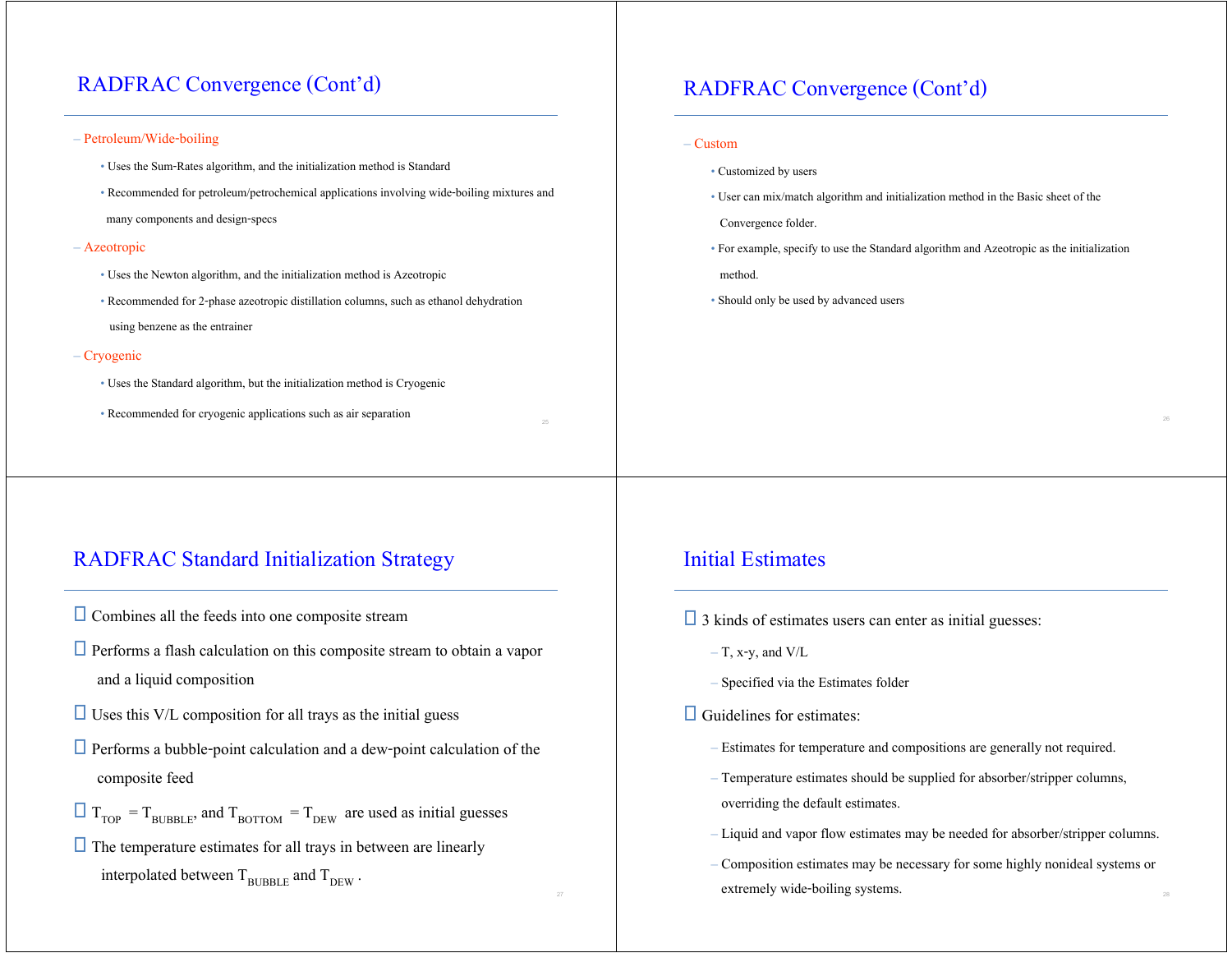## RADFRAC Convergence (Cont'd)

#### – Petroleum/Wide-boiling

- Uses the Sum-Rates algorithm, and the initialization method is Standard
- Recommended for petroleum/petrochemical applications involving wide-boiling mixtures and

many components and design-specs

#### – Azeotropic

- Uses the Newton algorithm, and the initialization method is Azeotropic
- Recommended for 2-phase azeotropic distillation columns, such as ethanol dehydration using benzene as the entrainer

#### – Cryogenic

- Uses the Standard algorithm, but the initialization method is Cryogenic
- Recommended for cryogenic applications such as air separation

### RADFRAC Standard Initialization Strategy

- $\Box$  Combines all the feeds into one composite stream
- $\Box$  Performs a flash calculation on this composite stream to obtain a vapor and a liquid composition
- $\Box$  Uses this V/L composition for all trays as the initial guess
- $\Box$  Performs a bubble-point calculation and a dew-point calculation of the composite feed
- $T_{\text{TOP}} = T_{\text{BURBLE}}$ , and  $T_{\text{BOTTOM}} = T_{\text{DEW}}$  are used as initial guesses
- $\Box$  The temperature estimates for all trays in between are linearly interpolated between  $T_{\text{BURRLE}}$  and  $T_{\text{DEW}}$ .

### RADFRAC Convergence (Cont'd)

#### – Custom

- Customized by users
- User can mix/match algorithm and initialization method in the Basic sheet of the

Convergence folder.

• For example, specify to use the Standard algorithm and Azeotropic as the initialization

method.

• Should only be used by advanced users

### Initial Estimates

- $\Box$  3 kinds of estimates users can enter as initial guesses:
	- $-$  T, x-y, and V/L
	- Specified via the Estimates folder

### $\Box$  Guidelines for estimates:

- Estimates for temperature and compositions are generally not required.
- Temperature estimates should be supplied for absorber/stripper columns, overriding the default estimates.
- Liquid and vapor flow estimates may be needed for absorber/stripper columns.
- Composition estimates may be necessary for some highly nonideal systems or extremely wide-boiling systems.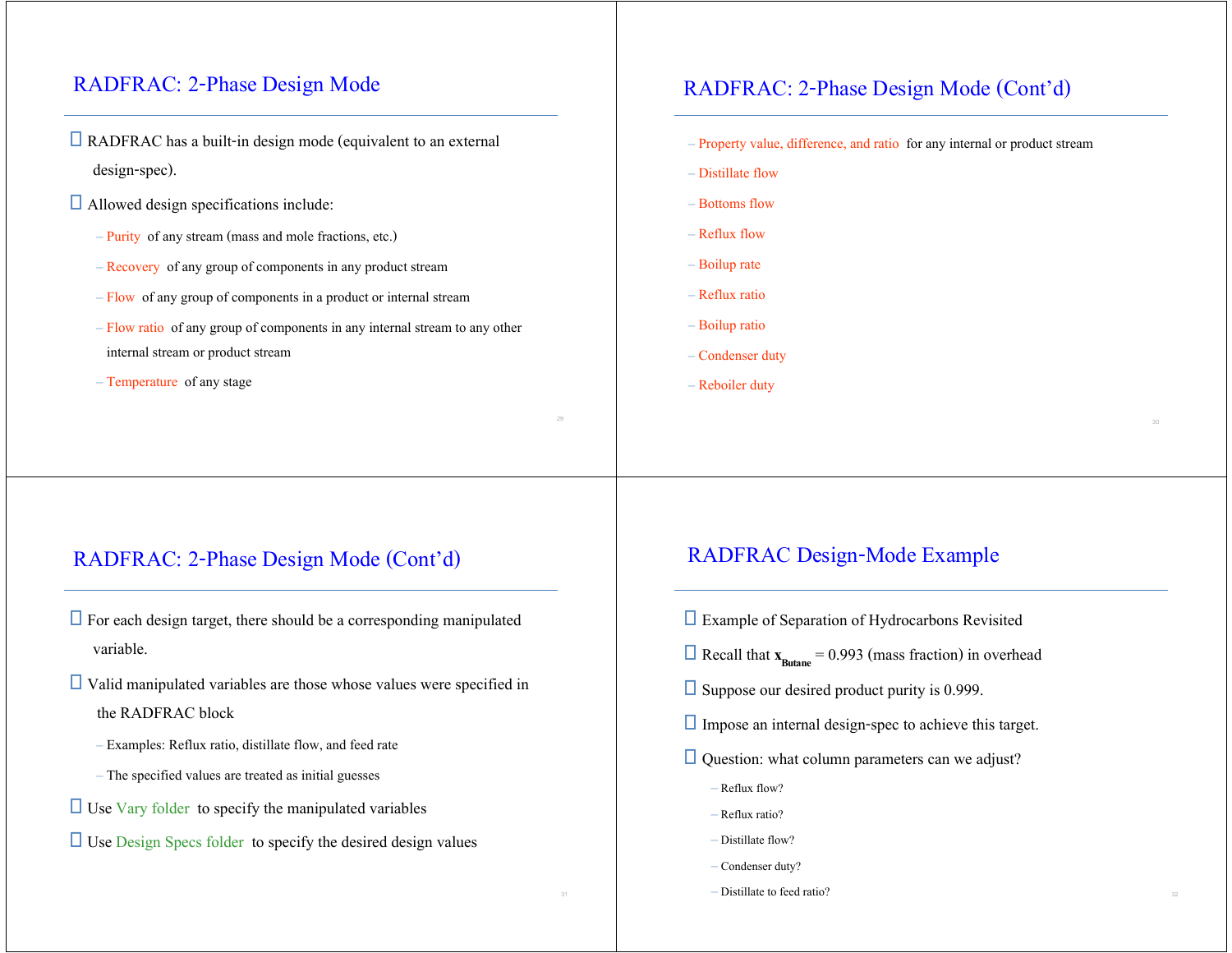## RADFRAC: 2-Phase Design Mode

- $\Box$  RADFRAC has a built-in design mode (equivalent to an external design-spec).
- Allowed design specifications include:
	- Purity of any stream (mass and mole fractions, etc.)
	- Recovery of any group of components in any product stream
	- Flow of any group of components in a product or internal stream
	- Flow ratio of any group of components in any internal stream to any other internal stream or product stream
	- Temperature of any stage

### RADFRAC: 2-Phase Design Mode (Cont'd)

– Property value, difference, and ratio for any internal or product stream

- Distillate flow
- Bottoms flow
- Reflux flow
- Boilup rate
- Reflux ratio
- Boilup ratio
- Condenser duty
- Reboiler duty

### RADFRAC: 2-Phase Design Mode (Cont'd)

- $\Box$  For each design target, there should be a corresponding manipulated variable.
- $\Box$  Valid manipulated variables are those whose values were specified in the RADFRAC block
	- Examples: Reflux ratio, distillate flow, and feed rate
	- The specified values are treated as initial guesses
- $\Box$  Use Vary folder to specify the manipulated variables
- $\Box$  Use Design Specs folder to specify the desired design values

### RADFRAC Design-Mode Example

- Example of Separation of Hydrocarbons Revisited
- $\Box$  Recall that  $\mathbf{x}_{\text{Butane}} = 0.993$  (mass fraction) in overhead
- $\square$  Suppose our desired product purity is 0.999.
- $\Box$  Impose an internal design-spec to achieve this target.
- $\Box$  Question: what column parameters can we adjust?
	- Reflux flow?
	- Reflux ratio?
	- Distillate flow?
	- Condenser duty?
	- Distillate to feed ratio?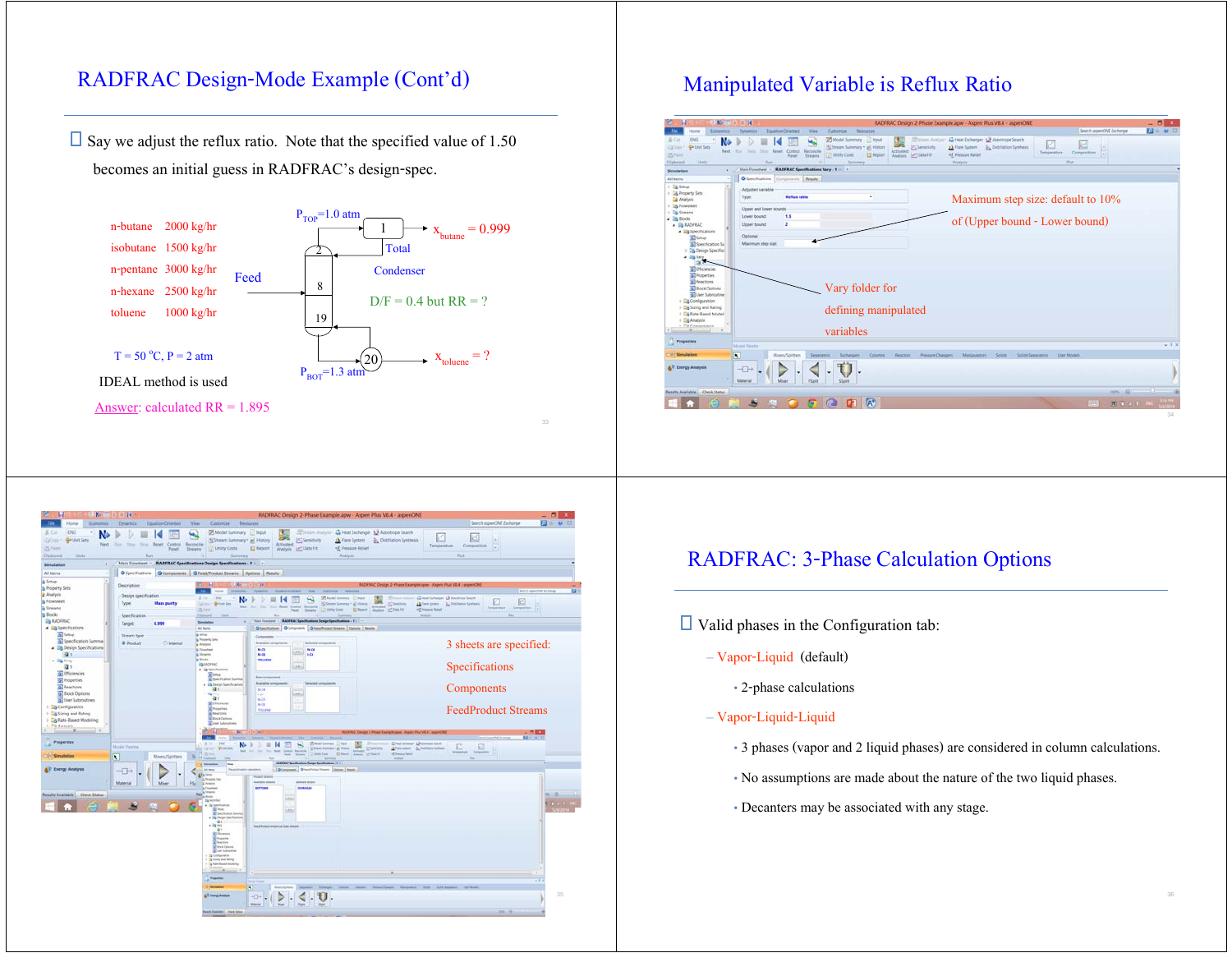### RADFRAC Design-Mode Example (Cont'd)

 $\Box$  Say we adjust the reflux ratio. Note that the specified value of 1.50 becomes an initial guess in RADFRAC's design-spec.



### Manipulated Variable is Reflux Ratio





### RADFRAC: 3-Phase Calculation Options

- $\Box$  Valid phases in the Configuration tab:
	- Vapor-Liquid (default)
		- 2-phase calculations

#### – Vapor-Liquid-Liquid

- 3 phases (vapor and 2 liquid phases) are considered in column calculations.
- No assumptions are made about the nature of the two liquid phases.
- Decanters may be associated with any stage.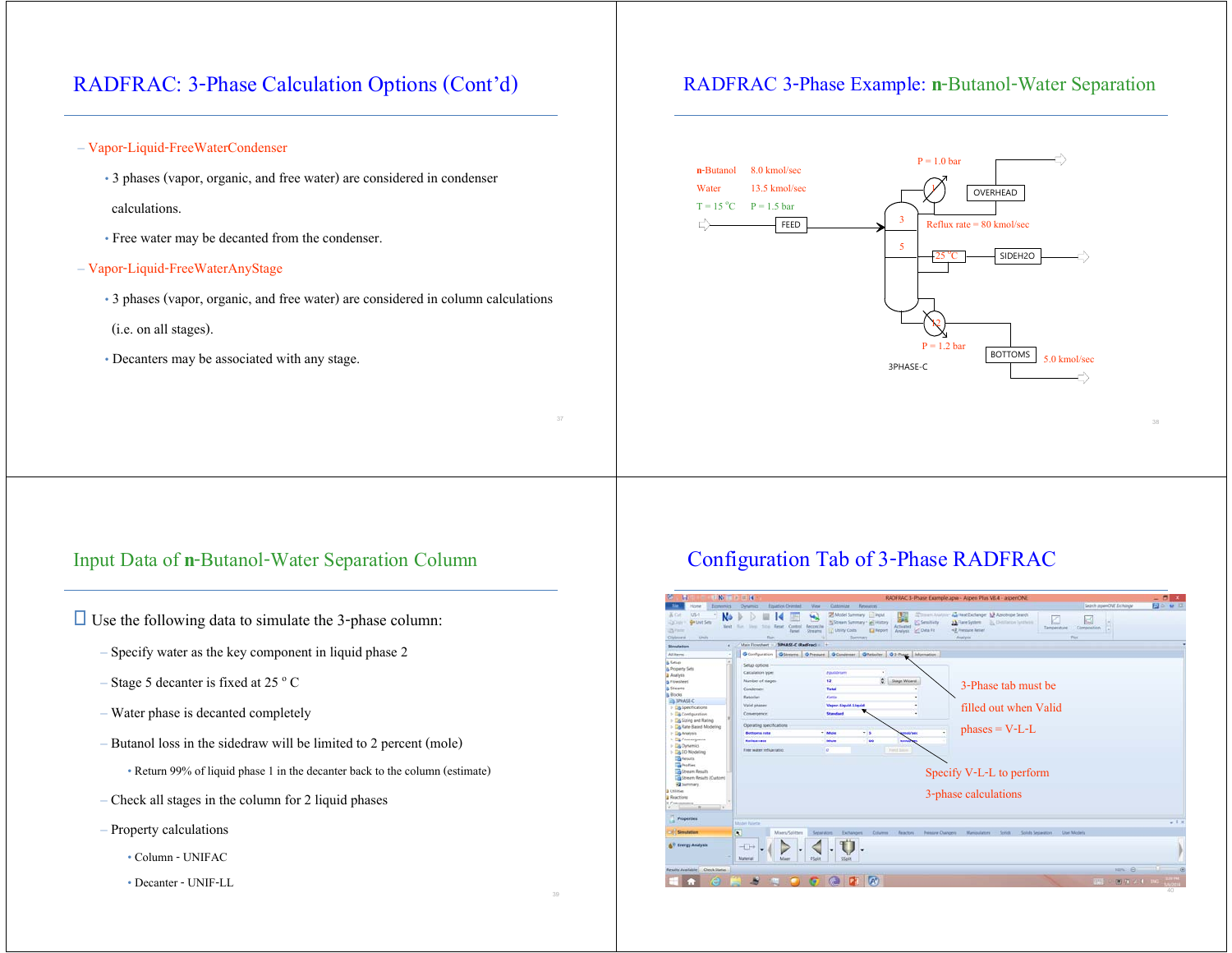## RADFRAC: 3-Phase Calculation Options (Cont'd)

- Vapor-Liquid-FreeWaterCondenser
	- 3 phases (vapor, organic, and free water) are considered in condenser calculations.
	- Free water may be decanted from the condenser.
- Vapor-Liquid-FreeWaterAnyStage
	- 3 phases (vapor, organic, and free water) are considered in column calculations (i.e. on all stages).
	- Decanters may be associated with any stage.

### RADFRAC 3-Phase Example: **n**-Butanol-Water Separation



### Input Data of **n**-Butanol-Water Separation Column

 $\Box$  Use the following data to simulate the 3-phase column:

- Specify water as the key component in liquid phase 2
- Stage 5 decanter is fixed at 25  $\degree$  C
- Water phase is decanted completely
- Butanol loss in the sidedraw will be limited to 2 percent (mole)

• Return 99% of liquid phase 1 in the decanter back to the column (estimate)

- Check all stages in the column for 2 liquid phases
- Property calculations
	- Column UNIFAC
	- Decanter UNIF-LL

## Configuration Tab of 3-Phase RADFRAC

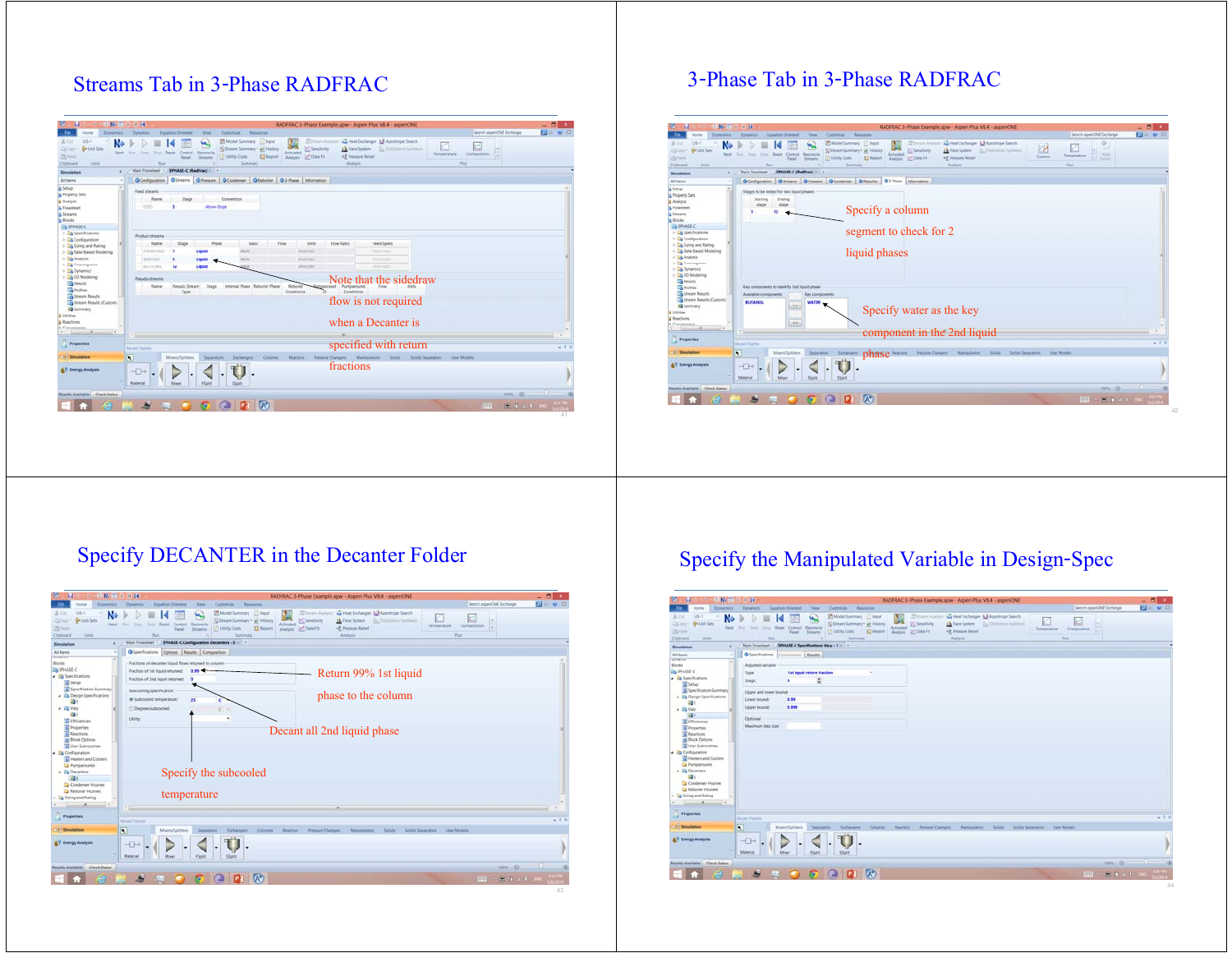## Streams Tab in 3-Phase RADFRAC

| $+8 = +14$<br>н<br>Economics -                                                  | <b>Equation Chiefred</b><br>Dysamics                                   | View<br>Customize<br>Resources                                                                                                  | RADFRAC 3-Phase Example.apw - Aspen Plus VB.4 - aspenONE                                              |                                                                                                      | Septh agenCAI Exchange          | $-01$<br><b>Bo + B</b> |
|---------------------------------------------------------------------------------|------------------------------------------------------------------------|---------------------------------------------------------------------------------------------------------------------------------|-------------------------------------------------------------------------------------------------------|------------------------------------------------------------------------------------------------------|---------------------------------|------------------------|
| $U - 1$<br>& Cit.<br>N<br>G Unit Sets<br><b>DOW</b><br>四方<br>Units:<br>Clobcard | Next Run Steps<br>Tiny Reset Control Recordie<br><b>Rangel</b><br>Rom. | <b>25 Model Summary C Input</b><br>Schleeam Summary + all History<br><b>L' Utility Casts</b><br>El Aeport<br>Streams<br>Summary | S Senativity<br>2 A Flare System:<br>Activated<br>Anahois M Data Fit<br><2 Pressure Relief<br>Anaheir | Schiesm Andony 44 Heat Exchanger 13 Azierrope Search<br>K<br>D. Dottiglion Synthesis<br>Temperature. | ы<br>Composition<br><b>That</b> |                        |
| Simulation                                                                      | Main Flowsheet = 1994ASE-C (RadFrac)                                   | <b>ALC: NO</b>                                                                                                                  |                                                                                                       |                                                                                                      |                                 |                        |
| All <b>Berns</b>                                                                | <b>O</b> Configuration                                                 | Giovani Ghesse GContener Glieboler GJ-Rase Information                                                                          |                                                                                                       |                                                                                                      |                                 |                        |
| & Setup                                                                         | Feed streams                                                           |                                                                                                                                 |                                                                                                       |                                                                                                      |                                 |                        |
| & Property Sets                                                                 | Stage<br>Name                                                          | Convention                                                                                                                      |                                                                                                       |                                                                                                      |                                 |                        |
| <b>Analysis</b>                                                                 | <b>FEED</b><br>٠                                                       | Above Stage                                                                                                                     |                                                                                                       |                                                                                                      |                                 |                        |
| 5. Flowsheet                                                                    |                                                                        |                                                                                                                                 |                                                                                                       |                                                                                                      |                                 |                        |
| & Streams<br>a Rocks                                                            |                                                                        |                                                                                                                                 |                                                                                                       |                                                                                                      |                                 |                        |
| <b>ON SPHASE-C</b>                                                              |                                                                        |                                                                                                                                 |                                                                                                       |                                                                                                      |                                 |                        |
| > Ca Specifications                                                             |                                                                        |                                                                                                                                 |                                                                                                       |                                                                                                      |                                 |                        |
| > La Configuration                                                              | Product streams                                                        |                                                                                                                                 |                                                                                                       |                                                                                                      |                                 |                        |
| > To String and Rating                                                          | Name<br>Stage                                                          | Phase<br>Basis<br>Flow                                                                                                          | <b>Fine Ratio</b><br>Usits                                                                            | Feed Specs                                                                                           |                                 |                        |
| > Da Rate-Based Modeling                                                        | OVERHEAD                                                               | Liquid<br>Mone                                                                                                                  | <b>Arnald Faxe</b>                                                                                    | Fast trans                                                                                           |                                 |                        |
| $\Rightarrow$ $\Box$ Analysis                                                   | \$09420                                                                | Liquid<br>Melle                                                                                                                 | krat/ser                                                                                              | <b>Text Taxis</b>                                                                                    |                                 |                        |
| 1 3 Consequeur                                                                  | 12<br><b>BOTTOMS</b>                                                   | Liquid                                                                                                                          | amini/see                                                                                             | <b>Text Yard</b>                                                                                     |                                 |                        |
| <b>I</b> La Dynamics                                                            |                                                                        |                                                                                                                                 |                                                                                                       |                                                                                                      |                                 |                        |
| > E8 E0 Modeling                                                                | Panudo streams                                                         |                                                                                                                                 |                                                                                                       | Note that the sidedraw                                                                               |                                 |                        |
| <b>Ta</b> Resume<br><b>The Prodiles</b>                                         | Name                                                                   | Pseudo Stream Stage<br>Internal Phase Reboiler Phase                                                                            | Rebisile<br>round Pumparound                                                                          |                                                                                                      |                                 |                        |
| <b>Ca Stream Results</b>                                                        | Type                                                                   |                                                                                                                                 | Conditions<br>Conditions                                                                              |                                                                                                      |                                 |                        |
| Stream Returbs (Custom)                                                         |                                                                        |                                                                                                                                 |                                                                                                       | flow is not required                                                                                 |                                 |                        |
| <b>B</b> Summary                                                                |                                                                        |                                                                                                                                 |                                                                                                       |                                                                                                      |                                 |                        |
| <b>J</b> Utilities                                                              |                                                                        |                                                                                                                                 |                                                                                                       |                                                                                                      |                                 |                        |
| <b>Anactions</b>                                                                |                                                                        |                                                                                                                                 |                                                                                                       | when a Decanter is                                                                                   |                                 |                        |
| Constraints<br>24<br>$-14$                                                      |                                                                        |                                                                                                                                 |                                                                                                       |                                                                                                      |                                 |                        |
|                                                                                 |                                                                        |                                                                                                                                 |                                                                                                       |                                                                                                      |                                 |                        |
| <b>Pringerties</b>                                                              |                                                                        |                                                                                                                                 |                                                                                                       | specified with return                                                                                |                                 |                        |
|                                                                                 | <b>Midel Paints</b>                                                    |                                                                                                                                 |                                                                                                       |                                                                                                      |                                 | $-3.1$                 |
| <b>City</b> Simulation                                                          | $\overline{\mathbf{N}}$<br>Maers/Spitters                              | Eichangers<br><b>Columns</b><br>Separators.                                                                                     | Pressure Changers: Manipulators<br><b>Beaching</b>                                                    | Solids Separature  User Models<br>Solida                                                             |                                 |                        |
|                                                                                 |                                                                        |                                                                                                                                 |                                                                                                       |                                                                                                      |                                 |                        |
| <b>AV Energy Analysis</b>                                                       | $\neg$                                                                 |                                                                                                                                 | fractions                                                                                             |                                                                                                      |                                 |                        |
|                                                                                 |                                                                        |                                                                                                                                 |                                                                                                       |                                                                                                      |                                 |                        |
|                                                                                 | <b>Material</b><br>Misser                                              | <b>FSpilit</b><br>SSolit                                                                                                        |                                                                                                       |                                                                                                      |                                 |                        |
| Results Available Check Status                                                  |                                                                        |                                                                                                                                 |                                                                                                       |                                                                                                      | $mn - \Theta$                   |                        |
|                                                                                 |                                                                        |                                                                                                                                 |                                                                                                       |                                                                                                      |                                 |                        |
| э                                                                               | B                                                                      | <b>DE AV</b><br>61<br>G.                                                                                                        |                                                                                                       |                                                                                                      | 第第2章<br><b>FEED</b>             |                        |
|                                                                                 |                                                                        |                                                                                                                                 |                                                                                                       |                                                                                                      |                                 |                        |

## 3-Phase Tab in 3-Phase RADFRAC



# Specify DECANTER in the Decanter Folder

| <b>IN BERGER</b><br>н                                                                            |                                                                                                                                                                                                                                    | RADERAC 3-Phase Example apw - Aspen Plus V8.4 - asperIONE                                                                                                                                                     |                               | $- 0.$         |
|--------------------------------------------------------------------------------------------------|------------------------------------------------------------------------------------------------------------------------------------------------------------------------------------------------------------------------------------|---------------------------------------------------------------------------------------------------------------------------------------------------------------------------------------------------------------|-------------------------------|----------------|
| <b>Bronemics</b>                                                                                 | Equation Oriented<br>View.<br><b>Customize</b><br>Resources<br>Dynamics.                                                                                                                                                           |                                                                                                                                                                                                               | Search aspenONE Exchange      | <b>130 U D</b> |
| $UT-1$<br>N<br>W Cot<br>Grunn Sets<br>23 Circle<br><b>Neigh</b><br>Z5 Farin<br>Duty.<br>Clobcard | Model Summary   Input<br><b>N</b> Stream Summary * all History<br><b>Ship Reset Control Recordia</b><br>Activated<br>Sheep<br><b>CALLS</b><br><b>LT MIRY Cods</b><br><b>D</b> Nepert<br>Shearry<br>Pariel<br><b>Bus</b><br>Summary | Sittmen Analysis An Heat Exchanger N. Assotroste Search<br>ĸ<br>S Senitivity<br><b>J.A.</b> Flare System<br>D., Textriution Sentence<br>Temperature<br>Analysis AT Data Fit<br><3. Trenture field<br>Analysis | e<br>×<br>Composition<br>Port |                |
| Simulation                                                                                       | Main Flowsheet - 3PHASE-C Configuration Decenters - S = +                                                                                                                                                                          |                                                                                                                                                                                                               |                               |                |
| All Items                                                                                        | O Spechanisms Dations Results Composition                                                                                                                                                                                          |                                                                                                                                                                                                               |                               |                |
| <b>ANTIQUES</b><br>Books                                                                         | Fractions of decarter liquid flows returned to column                                                                                                                                                                              |                                                                                                                                                                                                               |                               |                |
| <b>Da IPHASE-C</b>                                                                               | Fraction of fut liquid returned:<br>$0.99 - 4$                                                                                                                                                                                     |                                                                                                                                                                                                               |                               |                |
| . By Specifications                                                                              | Fraction of 2nd liquid returned.<br>$\bullet$                                                                                                                                                                                      | Return 99% 1st liquid                                                                                                                                                                                         |                               |                |
| Setup<br>a) Specification Summary                                                                |                                                                                                                                                                                                                                    |                                                                                                                                                                                                               |                               |                |
| <sup>a</sup> El Design Specifications                                                            | Subcooling specification                                                                                                                                                                                                           | phase to the column                                                                                                                                                                                           |                               |                |
| -31                                                                                              | <b>III</b> Subcooled temperature:<br>25                                                                                                                                                                                            |                                                                                                                                                                                                               |                               |                |
| # Elli Vary<br>231                                                                               | C Degrees subcooled:<br>$\epsilon$                                                                                                                                                                                                 |                                                                                                                                                                                                               |                               |                |
| 5 Ulciencies                                                                                     | ٠<br><b>Utility:</b>                                                                                                                                                                                                               |                                                                                                                                                                                                               |                               |                |
| <b>S</b> Properties<br>G Fractions                                                               |                                                                                                                                                                                                                                    | Decant all 2nd liquid phase                                                                                                                                                                                   |                               |                |
| <b>Al Bock Options</b>                                                                           |                                                                                                                                                                                                                                    |                                                                                                                                                                                                               |                               |                |
| <b>SE User Subroutives</b>                                                                       |                                                                                                                                                                                                                                    |                                                                                                                                                                                                               |                               |                |
| . B Configuration<br><b>B</b> Heaters and Coolers                                                |                                                                                                                                                                                                                                    |                                                                                                                                                                                                               |                               |                |
| A Pumpardunds                                                                                    |                                                                                                                                                                                                                                    |                                                                                                                                                                                                               |                               |                |
| a Ela Decanters                                                                                  | Specify the subcooled                                                                                                                                                                                                              |                                                                                                                                                                                                               |                               |                |
| <b>23 S</b><br><b>Candenser Hourvey</b>                                                          |                                                                                                                                                                                                                                    |                                                                                                                                                                                                               |                               |                |
| <b>Ea Reboller Hourses</b>                                                                       |                                                                                                                                                                                                                                    |                                                                                                                                                                                                               |                               |                |
| <b>Da Sizing and Rating</b>                                                                      | temperature                                                                                                                                                                                                                        |                                                                                                                                                                                                               |                               |                |
| $\rightarrow$<br>a.                                                                              |                                                                                                                                                                                                                                    |                                                                                                                                                                                                               |                               |                |
| <b>Properties</b>                                                                                | <b>Model Patents</b>                                                                                                                                                                                                               |                                                                                                                                                                                                               |                               | $-11$          |
| <b>Comutation</b>                                                                                | $\overline{\mathbf{S}}$<br><b>Separators</b><br>Exchangers<br>Columns<br>Mierrs/Spitters                                                                                                                                           | Reactors<br>Pressure Changers<br>Manpulatim<br><b>Sellas</b><br>Solida Separators<br><b>User Models</b>                                                                                                       |                               |                |
|                                                                                                  |                                                                                                                                                                                                                                    |                                                                                                                                                                                                               |                               |                |
| <b>AV Energy Analysis</b>                                                                        | $\neg$                                                                                                                                                                                                                             |                                                                                                                                                                                                               |                               |                |
|                                                                                                  | Material<br>Mixer<br>FSplit<br>Stoir                                                                                                                                                                                               |                                                                                                                                                                                                               |                               |                |
|                                                                                                  |                                                                                                                                                                                                                                    |                                                                                                                                                                                                               |                               |                |
| Results Available Check Status                                                                   |                                                                                                                                                                                                                                    |                                                                                                                                                                                                               | $mn - B$                      |                |
|                                                                                                  |                                                                                                                                                                                                                                    |                                                                                                                                                                                                               |                               |                |
|                                                                                                  | $P1$ $A$<br>Œ                                                                                                                                                                                                                      |                                                                                                                                                                                                               | 田美 田 田<br>wee                 |                |

# Specify the Manipulated Variable in Design-Spec

| н<br>$\mathbb{E}[X] = \mathbb{E}[X]$                                                              |                                                     |                          |                                   |                                                                                                                        |                 |           |                                        |                                         | RADFRAC 3-Phase Example.apw - Aspen Plus V8.4 - aspenONE                                       |                                  |                                    | $- 011$            |
|---------------------------------------------------------------------------------------------------|-----------------------------------------------------|--------------------------|-----------------------------------|------------------------------------------------------------------------------------------------------------------------|-----------------|-----------|----------------------------------------|-----------------------------------------|------------------------------------------------------------------------------------------------|----------------------------------|------------------------------------|--------------------|
| <b>Allen</b><br><b>Normal</b>                                                                     | Economics Dynamics                                  | Equation Oriented        | <b>You</b>                        | Customize 1                                                                                                            | Resources       |           |                                        |                                         |                                                                                                |                                  | Search aspenONE Exchange           | 日 0 日              |
| US-1<br>A Of<br>m.<br>N<br>Dichiert Grünsten<br>Next.<br><b>CLTHH</b><br>Cignoard<br><b>Lists</b> | for four fine first Control Recordia<br>Rom.        | <b>Contract Property</b> | Panel Streams                     | Model Summary Direct<br>Al Stream Summary + an History<br><b>In Listey Costs'</b><br>Service De Prince Co., Charleston | <b>D</b> Report | Activated | 25 Senativity<br>Analysis 1/2 Data Fit | <b>&lt;2</b> Pressure Field<br>Analysis | Elizabet Analysis' As Heat Enchanger N Agentinge Search<br>A Raw System 2), Contration Systems | ĸ<br>Temperature                 | d<br>H<br>Composition<br>m<br>Patt |                    |
| ÷<br>Simulation                                                                                   | Man Frowhert - 1PHASE-C Specifications Vary - 1 - + |                          |                                   |                                                                                                                        |                 |           |                                        |                                         |                                                                                                |                                  |                                    |                    |
| All News<br>×.                                                                                    | <b>OSpectrators Component Results</b>               |                          |                                   |                                                                                                                        |                 |           |                                        |                                         |                                                                                                |                                  |                                    |                    |
| <b>SERRITE</b>                                                                                    |                                                     |                          |                                   |                                                                                                                        |                 |           |                                        |                                         |                                                                                                |                                  |                                    |                    |
| <b>Ringer</b>                                                                                     | Adusted variable                                    |                          |                                   |                                                                                                                        |                 |           |                                        |                                         |                                                                                                |                                  |                                    |                    |
| <b>THE TANKSE-C</b>                                                                               | Teper                                               |                          | <b>1st liquid return fraction</b> |                                                                                                                        | ٠               |           |                                        |                                         |                                                                                                |                                  |                                    |                    |
| - Els Specifications                                                                              | Stage:                                              | ٠                        | ¢                                 |                                                                                                                        |                 |           |                                        |                                         |                                                                                                |                                  |                                    |                    |
| <b>Sal</b> Setup                                                                                  |                                                     |                          |                                   |                                                                                                                        |                 |           |                                        |                                         |                                                                                                |                                  |                                    |                    |
| Specification Summary                                                                             | Upper and tower bounds                              |                          |                                   |                                                                                                                        |                 |           |                                        |                                         |                                                                                                |                                  |                                    |                    |
| . 28 Design Specifications                                                                        | Lower bound:                                        | 0.99                     |                                   |                                                                                                                        |                 |           |                                        |                                         |                                                                                                |                                  |                                    |                    |
| (2)<br>a Els Vary                                                                                 | Upper fround:                                       | 0.999                    |                                   |                                                                                                                        |                 |           |                                        |                                         |                                                                                                |                                  |                                    |                    |
| 园                                                                                                 |                                                     |                          |                                   |                                                                                                                        |                 |           |                                        |                                         |                                                                                                |                                  |                                    |                    |
| 6 Efficiencies                                                                                    | Optional                                            |                          |                                   |                                                                                                                        |                 |           |                                        |                                         |                                                                                                |                                  |                                    |                    |
| <b>G</b> Properties                                                                               | Maximum step size:                                  |                          |                                   |                                                                                                                        |                 |           |                                        |                                         |                                                                                                |                                  |                                    |                    |
| <b>Go</b> Reactions                                                                               |                                                     |                          |                                   |                                                                                                                        |                 |           |                                        |                                         |                                                                                                |                                  |                                    |                    |
| <b>G</b> Block Outlons                                                                            |                                                     |                          |                                   |                                                                                                                        |                 |           |                                        |                                         |                                                                                                |                                  |                                    |                    |
| <b>Gil User Subroutines</b>                                                                       |                                                     |                          |                                   |                                                                                                                        |                 |           |                                        |                                         |                                                                                                |                                  |                                    |                    |
| - El Cerfiguration                                                                                |                                                     |                          |                                   |                                                                                                                        |                 |           |                                        |                                         |                                                                                                |                                  |                                    |                    |
| <b>Coolers</b> and Coolers                                                                        |                                                     |                          |                                   |                                                                                                                        |                 |           |                                        |                                         |                                                                                                |                                  |                                    |                    |
|                                                                                                   |                                                     |                          |                                   |                                                                                                                        |                 |           |                                        |                                         |                                                                                                |                                  |                                    |                    |
| <b>De Pumpanounds</b>                                                                             |                                                     |                          |                                   |                                                                                                                        |                 |           |                                        |                                         |                                                                                                |                                  |                                    |                    |
| . Els Decanters                                                                                   |                                                     |                          |                                   |                                                                                                                        |                 |           |                                        |                                         |                                                                                                |                                  |                                    |                    |
| <b>RES</b>                                                                                        |                                                     |                          |                                   |                                                                                                                        |                 |           |                                        |                                         |                                                                                                |                                  |                                    |                    |
| Condenser Higgsen                                                                                 |                                                     |                          |                                   |                                                                                                                        |                 |           |                                        |                                         |                                                                                                |                                  |                                    |                    |
| Arboitet Houses                                                                                   |                                                     |                          |                                   |                                                                                                                        |                 |           |                                        |                                         |                                                                                                |                                  |                                    |                    |
| <b>City</b> Sizing and Rating                                                                     |                                                     |                          |                                   |                                                                                                                        |                 |           |                                        |                                         |                                                                                                |                                  |                                    |                    |
| $1 - 1 - 1 - 1$                                                                                   |                                                     |                          |                                   |                                                                                                                        |                 |           |                                        |                                         |                                                                                                |                                  |                                    |                    |
|                                                                                                   |                                                     |                          |                                   |                                                                                                                        |                 |           |                                        |                                         |                                                                                                |                                  |                                    |                    |
| <b>Properties</b>                                                                                 |                                                     |                          |                                   |                                                                                                                        |                 |           |                                        |                                         |                                                                                                |                                  |                                    | $x + x$            |
|                                                                                                   | Michel Faistts                                      |                          |                                   |                                                                                                                        |                 |           |                                        |                                         |                                                                                                |                                  |                                    |                    |
| <b>CONSUMINARY</b>                                                                                | $\overline{\mathbf{R}}$                             | Maart/Spilters           | Separators                        | Extrangers                                                                                                             |                 |           | Columns Reaches Pressure Changers      |                                         | Mangulator: Scick                                                                              | Solicis Separators . User Models |                                    |                    |
|                                                                                                   |                                                     |                          |                                   |                                                                                                                        |                 |           |                                        |                                         |                                                                                                |                                  |                                    |                    |
| <b>AV Energy Analysis</b>                                                                         | $-\Box$                                             |                          |                                   |                                                                                                                        |                 |           |                                        |                                         |                                                                                                |                                  |                                    |                    |
|                                                                                                   |                                                     |                          |                                   |                                                                                                                        |                 |           |                                        |                                         |                                                                                                |                                  |                                    |                    |
|                                                                                                   | Material:                                           | Altimore                 | <b>FSplit</b>                     | 55pit                                                                                                                  |                 |           |                                        |                                         |                                                                                                |                                  |                                    |                    |
|                                                                                                   |                                                     |                          |                                   |                                                                                                                        |                 |           |                                        |                                         |                                                                                                |                                  |                                    |                    |
|                                                                                                   |                                                     |                          |                                   |                                                                                                                        |                 |           |                                        |                                         |                                                                                                |                                  |                                    |                    |
| <b>Results Available   Check Status</b>                                                           |                                                     |                          |                                   |                                                                                                                        |                 |           |                                        |                                         |                                                                                                |                                  |                                    | $\sim$<br>$nm = 0$ |
| Э                                                                                                 | یخ<br><b>SEE</b>                                    |                          | lo.                               | <b>PI</b> A<br>G                                                                                                       |                 |           |                                        |                                         |                                                                                                |                                  |                                    | (四) ( 南京 4 0 16    |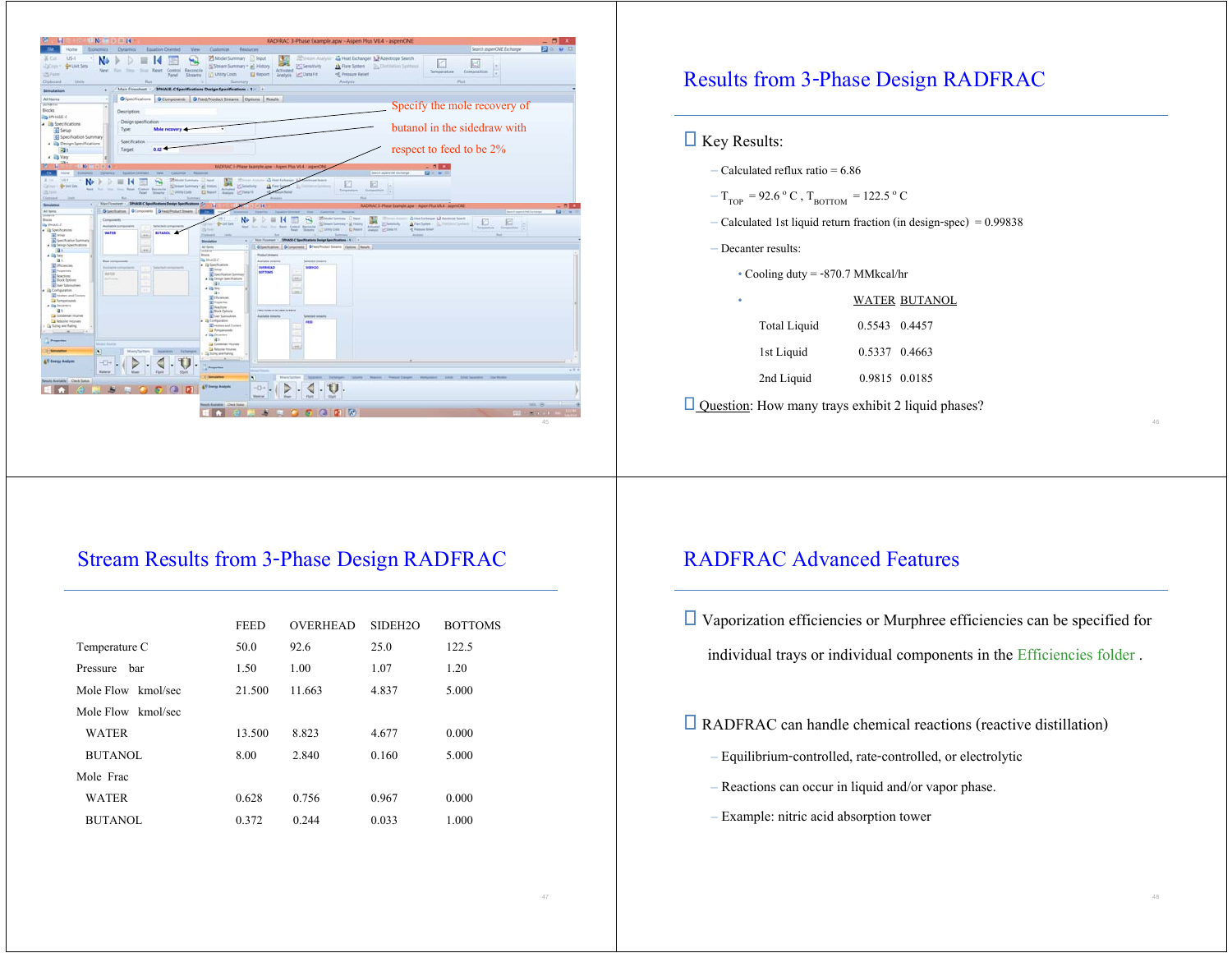

### Results from 3-Phase Design RADFRAC

### $\Box$  Key Results:

– Calculated reflux ratio =  $6.86$ 

 $-$  T<sub>TOP</sub> = 92.6  $\rm{^{\circ}}$  C , T<sub>BOTTOM</sub> = 122.5  $\rm{^{\circ}}$  C

- Calculated 1st liquid return fraction (in design-spec) = 0.99838
- Decanter results:

• Cooling duty = -870.7 MMkcal/hr

|                     |               | WATER BUTANOL |
|---------------------|---------------|---------------|
| <b>Total Liquid</b> | 0.5543 0.4457 |               |
| 1st Liquid          | 0.5337 0.4663 |               |
| 2nd Liquid          | 0.9815 0.0185 |               |

 $\Box$  Question: How many trays exhibit 2 liquid phases?

## Stream Results from 3-Phase Design RADFRAC

|                    | <b>FEED</b> | <b>OVERHEAD</b> | SIDEH <sub>20</sub> | <b>BOTTOMS</b> |
|--------------------|-------------|-----------------|---------------------|----------------|
| Temperature C      | 50.0        | 92.6            | 25.0                | 122.5          |
| Pressure<br>bar    | 1.50        | 1.00            | 1.07                | 1.20           |
| Mole Flow kmol/sec | 21.500      | 11.663          | 4.837               | 5.000          |
| Mole Flow kmol/sec |             |                 |                     |                |
| <b>WATER</b>       | 13.500      | 8.823           | 4.677               | 0.000          |
| BUTANOL            | 8.00        | 2.840           | 0.160               | 5.000          |
| Mole Frac          |             |                 |                     |                |
| <b>WATER</b>       | 0.628       | 0.756           | 0.967               | 0.000          |
| <b>BUTANOL</b>     | 0.372       | 0.244           | 0.033               | 1.000          |

### RADFRAC Advanced Features

 $\Box$  Vaporization efficiencies or Murphree efficiencies can be specified for

individual trays or individual components in the Efficiencies folder .

RADFRAC can handle chemical reactions (reactive distillation)

- Equilibrium-controlled, rate-controlled, or electrolytic
- Reactions can occur in liquid and/or vapor phase.
- Example: nitric acid absorption tower